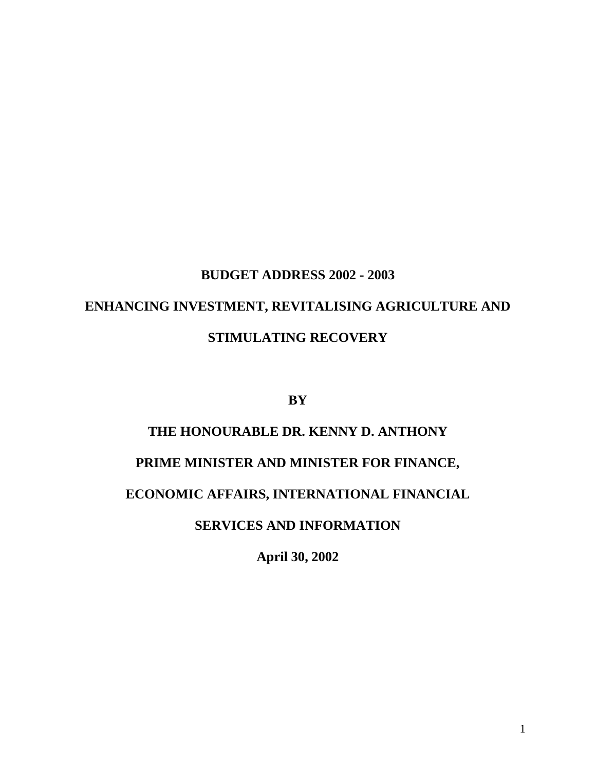# **BUDGET ADDRESS 2002 - 2003 ENHANCING INVESTMENT, REVITALISING AGRICULTURE AND STIMULATING RECOVERY**

**BY**

# **THE HONOURABLE DR. KENNY D. ANTHONY**

# **PRIME MINISTER AND MINISTER FOR FINANCE,**

# **ECONOMIC AFFAIRS, INTERNATIONAL FINANCIAL**

# **SERVICES AND INFORMATION**

**April 30, 2002**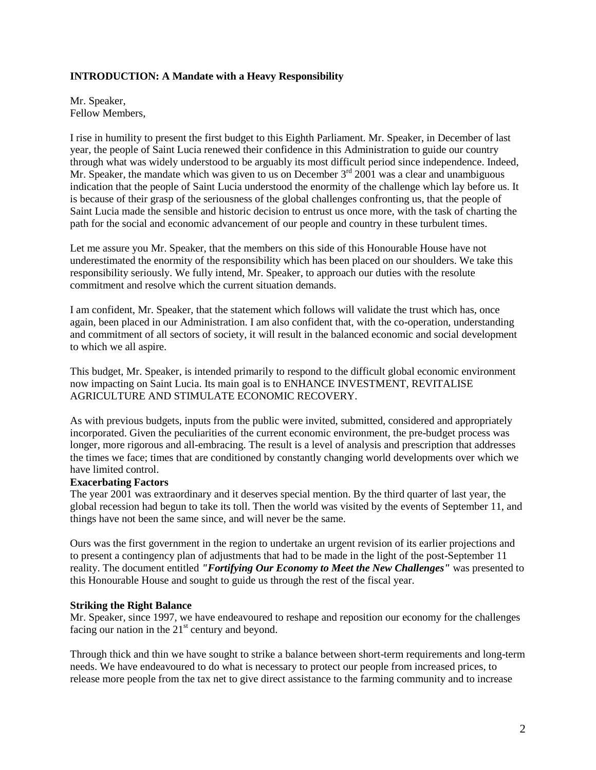#### **INTRODUCTION: A Mandate with a Heavy Responsibility**

Mr. Speaker, Fellow Members,

I rise in humility to present the first budget to this Eighth Parliament. Mr. Speaker, in December of last year, the people of Saint Lucia renewed their confidence in this Administration to guide our country through what was widely understood to be arguably its most difficult period since independence. Indeed, Mr. Speaker, the mandate which was given to us on December  $3<sup>rd</sup> 2001$  was a clear and unambiguous indication that the people of Saint Lucia understood the enormity of the challenge which lay before us. It is because of their grasp of the seriousness of the global challenges confronting us, that the people of Saint Lucia made the sensible and historic decision to entrust us once more, with the task of charting the path for the social and economic advancement of our people and country in these turbulent times.

Let me assure you Mr. Speaker, that the members on this side of this Honourable House have not underestimated the enormity of the responsibility which has been placed on our shoulders. We take this responsibility seriously. We fully intend, Mr. Speaker, to approach our duties with the resolute commitment and resolve which the current situation demands.

I am confident, Mr. Speaker, that the statement which follows will validate the trust which has, once again, been placed in our Administration. I am also confident that, with the co-operation, understanding and commitment of all sectors of society, it will result in the balanced economic and social development to which we all aspire.

This budget, Mr. Speaker, is intended primarily to respond to the difficult global economic environment now impacting on Saint Lucia. Its main goal is to ENHANCE INVESTMENT, REVITALISE AGRICULTURE AND STIMULATE ECONOMIC RECOVERY.

As with previous budgets, inputs from the public were invited, submitted, considered and appropriately incorporated. Given the peculiarities of the current economic environment, the pre-budget process was longer, more rigorous and all-embracing. The result is a level of analysis and prescription that addresses the times we face; times that are conditioned by constantly changing world developments over which we have limited control.

#### **Exacerbating Factors**

The year 2001 was extraordinary and it deserves special mention. By the third quarter of last year, the global recession had begun to take its toll. Then the world was visited by the events of September 11, and things have not been the same since, and will never be the same.

Ours was the first government in the region to undertake an urgent revision of its earlier projections and to present a contingency plan of adjustments that had to be made in the light of the post-September 11 reality. The document entitled *"Fortifying Our Economy to Meet the New Challenges"* was presented to this Honourable House and sought to guide us through the rest of the fiscal year.

#### **Striking the Right Balance**

Mr. Speaker, since 1997, we have endeavoured to reshape and reposition our economy for the challenges facing our nation in the  $21<sup>st</sup>$  century and beyond.

Through thick and thin we have sought to strike a balance between short-term requirements and long-term needs. We have endeavoured to do what is necessary to protect our people from increased prices, to release more people from the tax net to give direct assistance to the farming community and to increase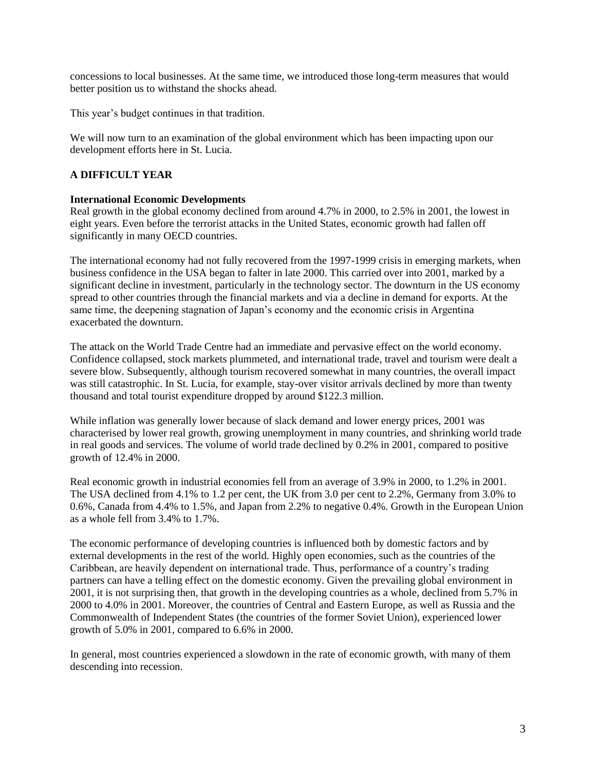concessions to local businesses. At the same time, we introduced those long-term measures that would better position us to withstand the shocks ahead.

This year's budget continues in that tradition.

We will now turn to an examination of the global environment which has been impacting upon our development efforts here in St. Lucia.

#### **A DIFFICULT YEAR**

#### **International Economic Developments**

Real growth in the global economy declined from around 4.7% in 2000, to 2.5% in 2001, the lowest in eight years. Even before the terrorist attacks in the United States, economic growth had fallen off significantly in many OECD countries.

The international economy had not fully recovered from the 1997-1999 crisis in emerging markets, when business confidence in the USA began to falter in late 2000. This carried over into 2001, marked by a significant decline in investment, particularly in the technology sector. The downturn in the US economy spread to other countries through the financial markets and via a decline in demand for exports. At the same time, the deepening stagnation of Japan's economy and the economic crisis in Argentina exacerbated the downturn.

The attack on the World Trade Centre had an immediate and pervasive effect on the world economy. Confidence collapsed, stock markets plummeted, and international trade, travel and tourism were dealt a severe blow. Subsequently, although tourism recovered somewhat in many countries, the overall impact was still catastrophic. In St. Lucia, for example, stay-over visitor arrivals declined by more than twenty thousand and total tourist expenditure dropped by around \$122.3 million.

While inflation was generally lower because of slack demand and lower energy prices, 2001 was characterised by lower real growth, growing unemployment in many countries, and shrinking world trade in real goods and services. The volume of world trade declined by 0.2% in 2001, compared to positive growth of 12.4% in 2000.

Real economic growth in industrial economies fell from an average of 3.9% in 2000, to 1.2% in 2001. The USA declined from 4.1% to 1.2 per cent, the UK from 3.0 per cent to 2.2%, Germany from 3.0% to 0.6%, Canada from 4.4% to 1.5%, and Japan from 2.2% to negative 0.4%. Growth in the European Union as a whole fell from 3.4% to 1.7%.

The economic performance of developing countries is influenced both by domestic factors and by external developments in the rest of the world. Highly open economies, such as the countries of the Caribbean, are heavily dependent on international trade. Thus, performance of a country's trading partners can have a telling effect on the domestic economy. Given the prevailing global environment in 2001, it is not surprising then, that growth in the developing countries as a whole, declined from 5.7% in 2000 to 4.0% in 2001. Moreover, the countries of Central and Eastern Europe, as well as Russia and the Commonwealth of Independent States (the countries of the former Soviet Union), experienced lower growth of 5.0% in 2001, compared to 6.6% in 2000.

In general, most countries experienced a slowdown in the rate of economic growth, with many of them descending into recession.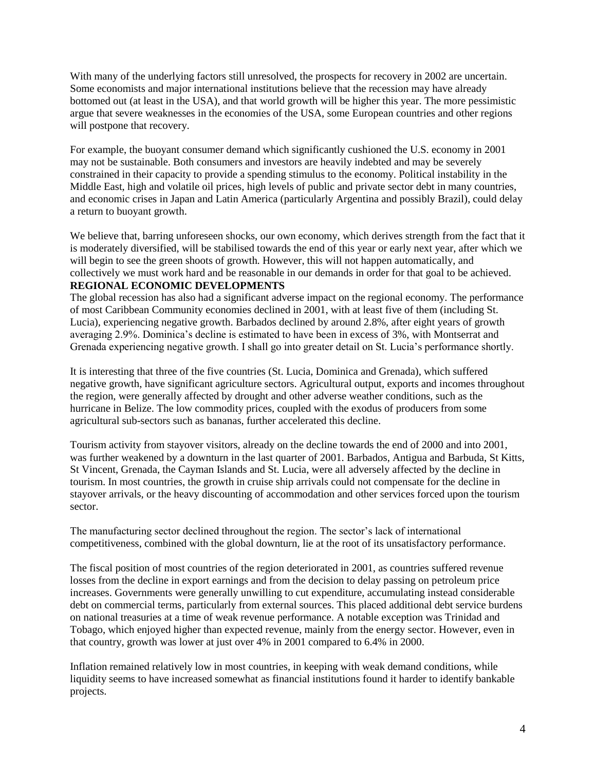With many of the underlying factors still unresolved, the prospects for recovery in 2002 are uncertain. Some economists and major international institutions believe that the recession may have already bottomed out (at least in the USA), and that world growth will be higher this year. The more pessimistic argue that severe weaknesses in the economies of the USA, some European countries and other regions will postpone that recovery.

For example, the buoyant consumer demand which significantly cushioned the U.S. economy in 2001 may not be sustainable. Both consumers and investors are heavily indebted and may be severely constrained in their capacity to provide a spending stimulus to the economy. Political instability in the Middle East, high and volatile oil prices, high levels of public and private sector debt in many countries, and economic crises in Japan and Latin America (particularly Argentina and possibly Brazil), could delay a return to buoyant growth.

We believe that, barring unforeseen shocks, our own economy, which derives strength from the fact that it is moderately diversified, will be stabilised towards the end of this year or early next year, after which we will begin to see the green shoots of growth. However, this will not happen automatically, and collectively we must work hard and be reasonable in our demands in order for that goal to be achieved. **REGIONAL ECONOMIC DEVELOPMENTS**

The global recession has also had a significant adverse impact on the regional economy. The performance of most Caribbean Community economies declined in 2001, with at least five of them (including St. Lucia), experiencing negative growth. Barbados declined by around 2.8%, after eight years of growth averaging 2.9%. Dominica's decline is estimated to have been in excess of 3%, with Montserrat and Grenada experiencing negative growth. I shall go into greater detail on St. Lucia's performance shortly.

It is interesting that three of the five countries (St. Lucia, Dominica and Grenada), which suffered negative growth, have significant agriculture sectors. Agricultural output, exports and incomes throughout the region, were generally affected by drought and other adverse weather conditions, such as the hurricane in Belize. The low commodity prices, coupled with the exodus of producers from some agricultural sub-sectors such as bananas, further accelerated this decline.

Tourism activity from stayover visitors, already on the decline towards the end of 2000 and into 2001, was further weakened by a downturn in the last quarter of 2001. Barbados, Antigua and Barbuda, St Kitts, St Vincent, Grenada, the Cayman Islands and St. Lucia, were all adversely affected by the decline in tourism. In most countries, the growth in cruise ship arrivals could not compensate for the decline in stayover arrivals, or the heavy discounting of accommodation and other services forced upon the tourism sector.

The manufacturing sector declined throughout the region. The sector's lack of international competitiveness, combined with the global downturn, lie at the root of its unsatisfactory performance.

The fiscal position of most countries of the region deteriorated in 2001, as countries suffered revenue losses from the decline in export earnings and from the decision to delay passing on petroleum price increases. Governments were generally unwilling to cut expenditure, accumulating instead considerable debt on commercial terms, particularly from external sources. This placed additional debt service burdens on national treasuries at a time of weak revenue performance. A notable exception was Trinidad and Tobago, which enjoyed higher than expected revenue, mainly from the energy sector. However, even in that country, growth was lower at just over 4% in 2001 compared to 6.4% in 2000.

Inflation remained relatively low in most countries, in keeping with weak demand conditions, while liquidity seems to have increased somewhat as financial institutions found it harder to identify bankable projects.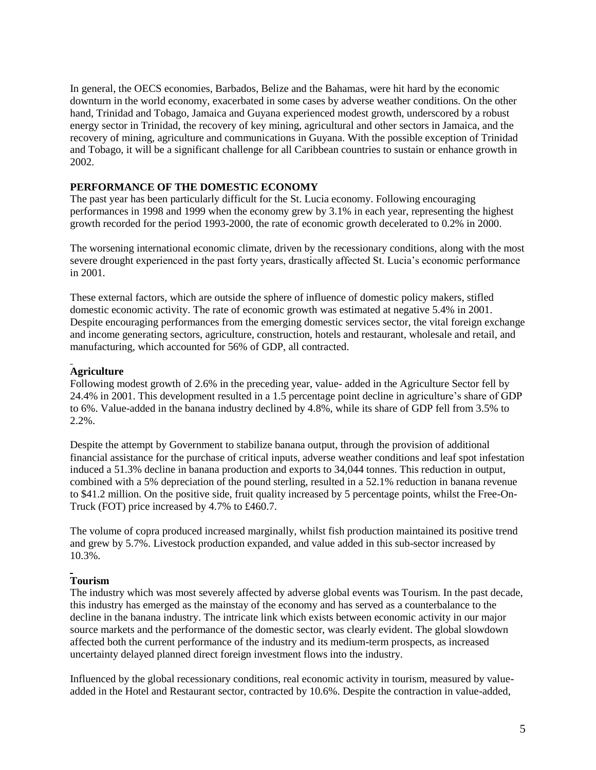In general, the OECS economies, Barbados, Belize and the Bahamas, were hit hard by the economic downturn in the world economy, exacerbated in some cases by adverse weather conditions. On the other hand, Trinidad and Tobago, Jamaica and Guyana experienced modest growth, underscored by a robust energy sector in Trinidad, the recovery of key mining, agricultural and other sectors in Jamaica, and the recovery of mining, agriculture and communications in Guyana. With the possible exception of Trinidad and Tobago, it will be a significant challenge for all Caribbean countries to sustain or enhance growth in 2002.

#### **PERFORMANCE OF THE DOMESTIC ECONOMY**

The past year has been particularly difficult for the St. Lucia economy. Following encouraging performances in 1998 and 1999 when the economy grew by 3.1% in each year, representing the highest growth recorded for the period 1993-2000, the rate of economic growth decelerated to 0.2% in 2000.

The worsening international economic climate, driven by the recessionary conditions, along with the most severe drought experienced in the past forty years, drastically affected St. Lucia's economic performance in 2001.

These external factors, which are outside the sphere of influence of domestic policy makers, stifled domestic economic activity. The rate of economic growth was estimated at negative 5.4% in 2001. Despite encouraging performances from the emerging domestic services sector, the vital foreign exchange and income generating sectors, agriculture, construction, hotels and restaurant, wholesale and retail, and manufacturing, which accounted for 56% of GDP, all contracted.

#### **Agriculture**

Following modest growth of 2.6% in the preceding year, value- added in the Agriculture Sector fell by 24.4% in 2001. This development resulted in a 1.5 percentage point decline in agriculture's share of GDP to 6%. Value-added in the banana industry declined by 4.8%, while its share of GDP fell from 3.5% to 2.2%.

Despite the attempt by Government to stabilize banana output, through the provision of additional financial assistance for the purchase of critical inputs, adverse weather conditions and leaf spot infestation induced a 51.3% decline in banana production and exports to 34,044 tonnes. This reduction in output, combined with a 5% depreciation of the pound sterling, resulted in a 52.1% reduction in banana revenue to \$41.2 million. On the positive side, fruit quality increased by 5 percentage points, whilst the Free-On-Truck (FOT) price increased by 4.7% to £460.7.

The volume of copra produced increased marginally, whilst fish production maintained its positive trend and grew by 5.7%. Livestock production expanded, and value added in this sub-sector increased by 10.3%.

# **Tourism**

The industry which was most severely affected by adverse global events was Tourism. In the past decade, this industry has emerged as the mainstay of the economy and has served as a counterbalance to the decline in the banana industry. The intricate link which exists between economic activity in our major source markets and the performance of the domestic sector, was clearly evident. The global slowdown affected both the current performance of the industry and its medium-term prospects, as increased uncertainty delayed planned direct foreign investment flows into the industry.

Influenced by the global recessionary conditions, real economic activity in tourism, measured by valueadded in the Hotel and Restaurant sector, contracted by 10.6%. Despite the contraction in value-added,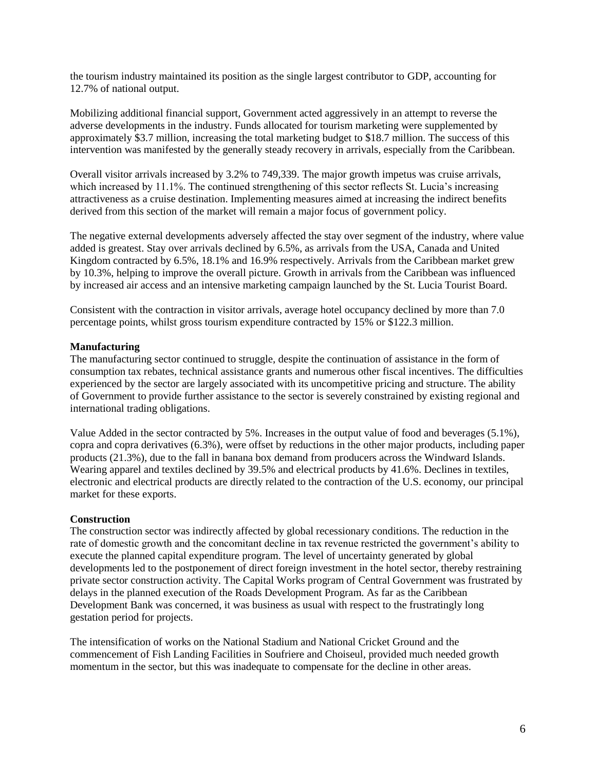the tourism industry maintained its position as the single largest contributor to GDP, accounting for 12.7% of national output.

Mobilizing additional financial support, Government acted aggressively in an attempt to reverse the adverse developments in the industry. Funds allocated for tourism marketing were supplemented by approximately \$3.7 million, increasing the total marketing budget to \$18.7 million. The success of this intervention was manifested by the generally steady recovery in arrivals, especially from the Caribbean.

Overall visitor arrivals increased by 3.2% to 749,339. The major growth impetus was cruise arrivals, which increased by 11.1%. The continued strengthening of this sector reflects St. Lucia's increasing attractiveness as a cruise destination. Implementing measures aimed at increasing the indirect benefits derived from this section of the market will remain a major focus of government policy.

The negative external developments adversely affected the stay over segment of the industry, where value added is greatest. Stay over arrivals declined by 6.5%, as arrivals from the USA, Canada and United Kingdom contracted by 6.5%, 18.1% and 16.9% respectively. Arrivals from the Caribbean market grew by 10.3%, helping to improve the overall picture. Growth in arrivals from the Caribbean was influenced by increased air access and an intensive marketing campaign launched by the St. Lucia Tourist Board.

Consistent with the contraction in visitor arrivals, average hotel occupancy declined by more than 7.0 percentage points, whilst gross tourism expenditure contracted by 15% or \$122.3 million.

#### **Manufacturing**

The manufacturing sector continued to struggle, despite the continuation of assistance in the form of consumption tax rebates, technical assistance grants and numerous other fiscal incentives. The difficulties experienced by the sector are largely associated with its uncompetitive pricing and structure. The ability of Government to provide further assistance to the sector is severely constrained by existing regional and international trading obligations.

Value Added in the sector contracted by 5%. Increases in the output value of food and beverages (5.1%), copra and copra derivatives (6.3%), were offset by reductions in the other major products, including paper products (21.3%), due to the fall in banana box demand from producers across the Windward Islands. Wearing apparel and textiles declined by 39.5% and electrical products by 41.6%. Declines in textiles, electronic and electrical products are directly related to the contraction of the U.S. economy, our principal market for these exports.

#### **Construction**

The construction sector was indirectly affected by global recessionary conditions. The reduction in the rate of domestic growth and the concomitant decline in tax revenue restricted the government's ability to execute the planned capital expenditure program. The level of uncertainty generated by global developments led to the postponement of direct foreign investment in the hotel sector, thereby restraining private sector construction activity. The Capital Works program of Central Government was frustrated by delays in the planned execution of the Roads Development Program. As far as the Caribbean Development Bank was concerned, it was business as usual with respect to the frustratingly long gestation period for projects.

The intensification of works on the National Stadium and National Cricket Ground and the commencement of Fish Landing Facilities in Soufriere and Choiseul, provided much needed growth momentum in the sector, but this was inadequate to compensate for the decline in other areas.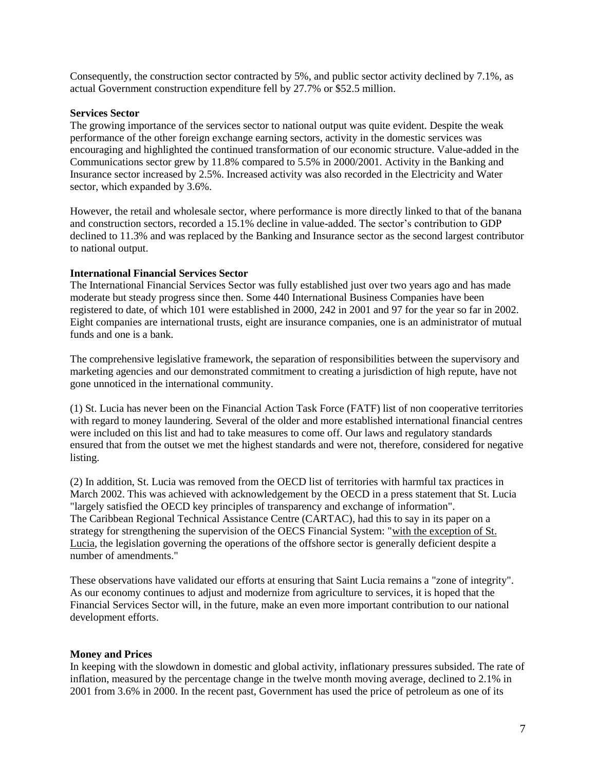Consequently, the construction sector contracted by 5%, and public sector activity declined by 7.1%, as actual Government construction expenditure fell by 27.7% or \$52.5 million.

#### **Services Sector**

The growing importance of the services sector to national output was quite evident. Despite the weak performance of the other foreign exchange earning sectors, activity in the domestic services was encouraging and highlighted the continued transformation of our economic structure. Value-added in the Communications sector grew by 11.8% compared to 5.5% in 2000/2001. Activity in the Banking and Insurance sector increased by 2.5%. Increased activity was also recorded in the Electricity and Water sector, which expanded by 3.6%.

However, the retail and wholesale sector, where performance is more directly linked to that of the banana and construction sectors, recorded a 15.1% decline in value-added. The sector's contribution to GDP declined to 11.3% and was replaced by the Banking and Insurance sector as the second largest contributor to national output.

#### **International Financial Services Sector**

The International Financial Services Sector was fully established just over two years ago and has made moderate but steady progress since then. Some 440 International Business Companies have been registered to date, of which 101 were established in 2000, 242 in 2001 and 97 for the year so far in 2002. Eight companies are international trusts, eight are insurance companies, one is an administrator of mutual funds and one is a bank.

The comprehensive legislative framework, the separation of responsibilities between the supervisory and marketing agencies and our demonstrated commitment to creating a jurisdiction of high repute, have not gone unnoticed in the international community.

(1) St. Lucia has never been on the Financial Action Task Force (FATF) list of non cooperative territories with regard to money laundering. Several of the older and more established international financial centres were included on this list and had to take measures to come off. Our laws and regulatory standards ensured that from the outset we met the highest standards and were not, therefore, considered for negative listing.

(2) In addition, St. Lucia was removed from the OECD list of territories with harmful tax practices in March 2002. This was achieved with acknowledgement by the OECD in a press statement that St. Lucia "largely satisfied the OECD key principles of transparency and exchange of information". The Caribbean Regional Technical Assistance Centre (CARTAC), had this to say in its paper on a strategy for strengthening the supervision of the OECS Financial System: "with the exception of St. Lucia, the legislation governing the operations of the offshore sector is generally deficient despite a number of amendments."

These observations have validated our efforts at ensuring that Saint Lucia remains a "zone of integrity". As our economy continues to adjust and modernize from agriculture to services, it is hoped that the Financial Services Sector will, in the future, make an even more important contribution to our national development efforts.

#### **Money and Prices**

In keeping with the slowdown in domestic and global activity, inflationary pressures subsided. The rate of inflation, measured by the percentage change in the twelve month moving average, declined to 2.1% in 2001 from 3.6% in 2000. In the recent past, Government has used the price of petroleum as one of its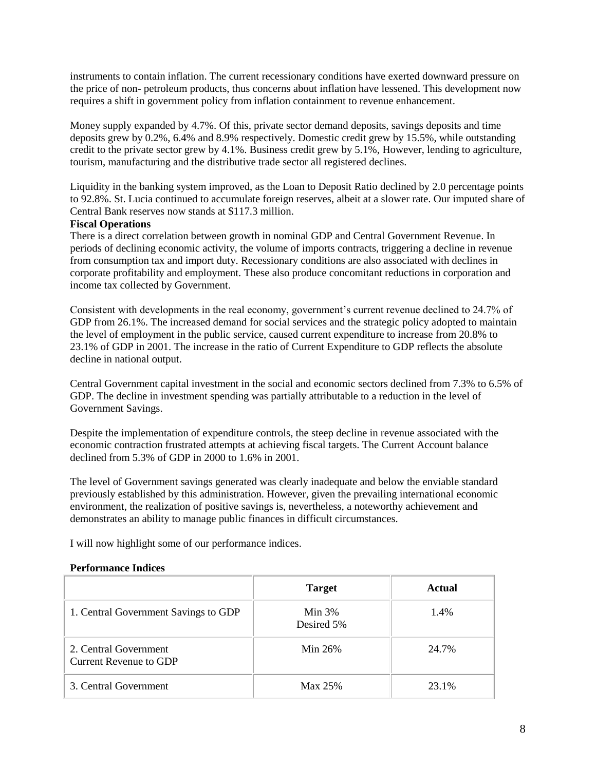instruments to contain inflation. The current recessionary conditions have exerted downward pressure on the price of non- petroleum products, thus concerns about inflation have lessened. This development now requires a shift in government policy from inflation containment to revenue enhancement.

Money supply expanded by 4.7%. Of this, private sector demand deposits, savings deposits and time deposits grew by 0.2%, 6.4% and 8.9% respectively. Domestic credit grew by 15.5%, while outstanding credit to the private sector grew by 4.1%. Business credit grew by 5.1%, However, lending to agriculture, tourism, manufacturing and the distributive trade sector all registered declines.

Liquidity in the banking system improved, as the Loan to Deposit Ratio declined by 2.0 percentage points to 92.8%. St. Lucia continued to accumulate foreign reserves, albeit at a slower rate. Our imputed share of Central Bank reserves now stands at \$117.3 million.

#### **Fiscal Operations**

There is a direct correlation between growth in nominal GDP and Central Government Revenue. In periods of declining economic activity, the volume of imports contracts, triggering a decline in revenue from consumption tax and import duty. Recessionary conditions are also associated with declines in corporate profitability and employment. These also produce concomitant reductions in corporation and income tax collected by Government.

Consistent with developments in the real economy, government's current revenue declined to 24.7% of GDP from 26.1%. The increased demand for social services and the strategic policy adopted to maintain the level of employment in the public service, caused current expenditure to increase from 20.8% to 23.1% of GDP in 2001. The increase in the ratio of Current Expenditure to GDP reflects the absolute decline in national output.

Central Government capital investment in the social and economic sectors declined from 7.3% to 6.5% of GDP. The decline in investment spending was partially attributable to a reduction in the level of Government Savings.

Despite the implementation of expenditure controls, the steep decline in revenue associated with the economic contraction frustrated attempts at achieving fiscal targets. The Current Account balance declined from 5.3% of GDP in 2000 to 1.6% in 2001.

The level of Government savings generated was clearly inadequate and below the enviable standard previously established by this administration. However, given the prevailing international economic environment, the realization of positive savings is, nevertheless, a noteworthy achievement and demonstrates an ability to manage public finances in difficult circumstances.

I will now highlight some of our performance indices.

#### **Performance Indices**

|                                                 | <b>Target</b>          | Actual |
|-------------------------------------------------|------------------------|--------|
| 1. Central Government Savings to GDP            | Min $3%$<br>Desired 5% | 1.4%   |
| 2. Central Government<br>Current Revenue to GDP | Min 26%                | 24.7%  |
| 3. Central Government                           | Max 25%                | 23.1%  |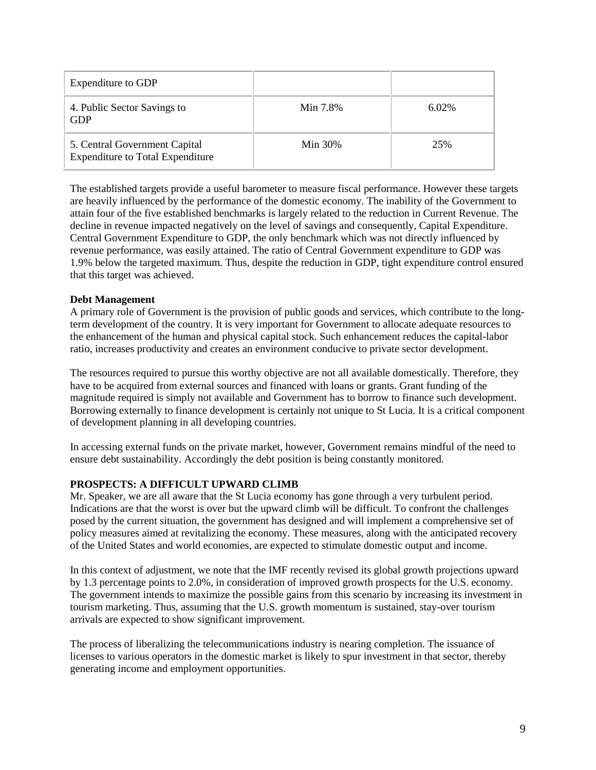| Expenditure to GDP                                                       |            |          |
|--------------------------------------------------------------------------|------------|----------|
| 4. Public Sector Savings to<br><b>GDP</b>                                | Min 7.8%   | $6.02\%$ |
| 5. Central Government Capital<br><b>Expenditure to Total Expenditure</b> | Min $30\%$ | 25%      |

The established targets provide a useful barometer to measure fiscal performance. However these targets are heavily influenced by the performance of the domestic economy. The inability of the Government to attain four of the five established benchmarks is largely related to the reduction in Current Revenue. The decline in revenue impacted negatively on the level of savings and consequently, Capital Expenditure. Central Government Expenditure to GDP, the only benchmark which was not directly influenced by revenue performance, was easily attained. The ratio of Central Government expenditure to GDP was 1.9% below the targeted maximum. Thus, despite the reduction in GDP, tight expenditure control ensured that this target was achieved.

#### **Debt Management**

A primary role of Government is the provision of public goods and services, which contribute to the longterm development of the country. It is very important for Government to allocate adequate resources to the enhancement of the human and physical capital stock. Such enhancement reduces the capital-labor ratio, increases productivity and creates an environment conducive to private sector development.

The resources required to pursue this worthy objective are not all available domestically. Therefore, they have to be acquired from external sources and financed with loans or grants. Grant funding of the magnitude required is simply not available and Government has to borrow to finance such development. Borrowing externally to finance development is certainly not unique to St Lucia. It is a critical component of development planning in all developing countries.

In accessing external funds on the private market, however, Government remains mindful of the need to ensure debt sustainability. Accordingly the debt position is being constantly monitored.

#### **PROSPECTS: A DIFFICULT UPWARD CLIMB**

Mr. Speaker, we are all aware that the St Lucia economy has gone through a very turbulent period. Indications are that the worst is over but the upward climb will be difficult. To confront the challenges posed by the current situation, the government has designed and will implement a comprehensive set of policy measures aimed at revitalizing the economy. These measures, along with the anticipated recovery of the United States and world economies, are expected to stimulate domestic output and income.

In this context of adjustment, we note that the IMF recently revised its global growth projections upward by 1.3 percentage points to 2.0%, in consideration of improved growth prospects for the U.S. economy. The government intends to maximize the possible gains from this scenario by increasing its investment in tourism marketing. Thus, assuming that the U.S. growth momentum is sustained, stay-over tourism arrivals are expected to show significant improvement.

The process of liberalizing the telecommunications industry is nearing completion. The issuance of licenses to various operators in the domestic market is likely to spur investment in that sector, thereby generating income and employment opportunities.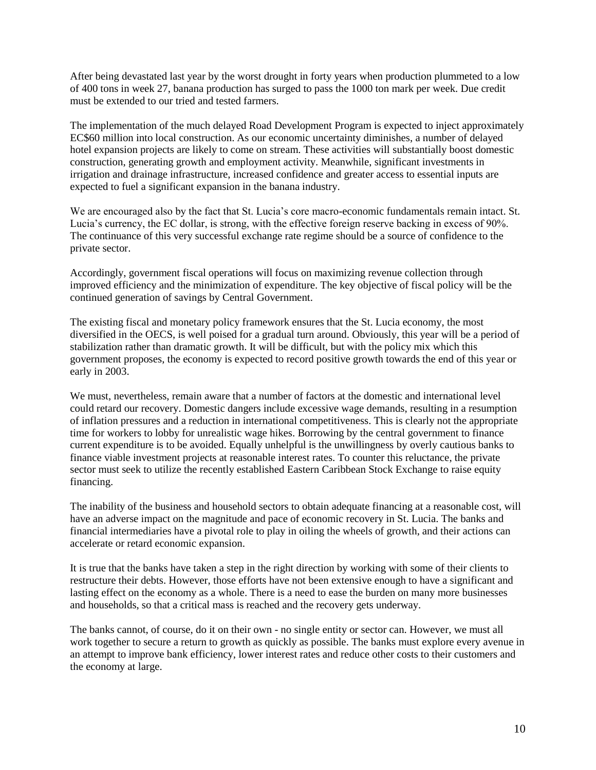After being devastated last year by the worst drought in forty years when production plummeted to a low of 400 tons in week 27, banana production has surged to pass the 1000 ton mark per week. Due credit must be extended to our tried and tested farmers.

The implementation of the much delayed Road Development Program is expected to inject approximately EC\$60 million into local construction. As our economic uncertainty diminishes, a number of delayed hotel expansion projects are likely to come on stream. These activities will substantially boost domestic construction, generating growth and employment activity. Meanwhile, significant investments in irrigation and drainage infrastructure, increased confidence and greater access to essential inputs are expected to fuel a significant expansion in the banana industry.

We are encouraged also by the fact that St. Lucia's core macro-economic fundamentals remain intact. St. Lucia's currency, the EC dollar, is strong, with the effective foreign reserve backing in excess of 90%. The continuance of this very successful exchange rate regime should be a source of confidence to the private sector.

Accordingly, government fiscal operations will focus on maximizing revenue collection through improved efficiency and the minimization of expenditure. The key objective of fiscal policy will be the continued generation of savings by Central Government.

The existing fiscal and monetary policy framework ensures that the St. Lucia economy, the most diversified in the OECS, is well poised for a gradual turn around. Obviously, this year will be a period of stabilization rather than dramatic growth. It will be difficult, but with the policy mix which this government proposes, the economy is expected to record positive growth towards the end of this year or early in 2003.

We must, nevertheless, remain aware that a number of factors at the domestic and international level could retard our recovery. Domestic dangers include excessive wage demands, resulting in a resumption of inflation pressures and a reduction in international competitiveness. This is clearly not the appropriate time for workers to lobby for unrealistic wage hikes. Borrowing by the central government to finance current expenditure is to be avoided. Equally unhelpful is the unwillingness by overly cautious banks to finance viable investment projects at reasonable interest rates. To counter this reluctance, the private sector must seek to utilize the recently established Eastern Caribbean Stock Exchange to raise equity financing.

The inability of the business and household sectors to obtain adequate financing at a reasonable cost, will have an adverse impact on the magnitude and pace of economic recovery in St. Lucia. The banks and financial intermediaries have a pivotal role to play in oiling the wheels of growth, and their actions can accelerate or retard economic expansion.

It is true that the banks have taken a step in the right direction by working with some of their clients to restructure their debts. However, those efforts have not been extensive enough to have a significant and lasting effect on the economy as a whole. There is a need to ease the burden on many more businesses and households, so that a critical mass is reached and the recovery gets underway.

The banks cannot, of course, do it on their own - no single entity or sector can. However, we must all work together to secure a return to growth as quickly as possible. The banks must explore every avenue in an attempt to improve bank efficiency, lower interest rates and reduce other costs to their customers and the economy at large.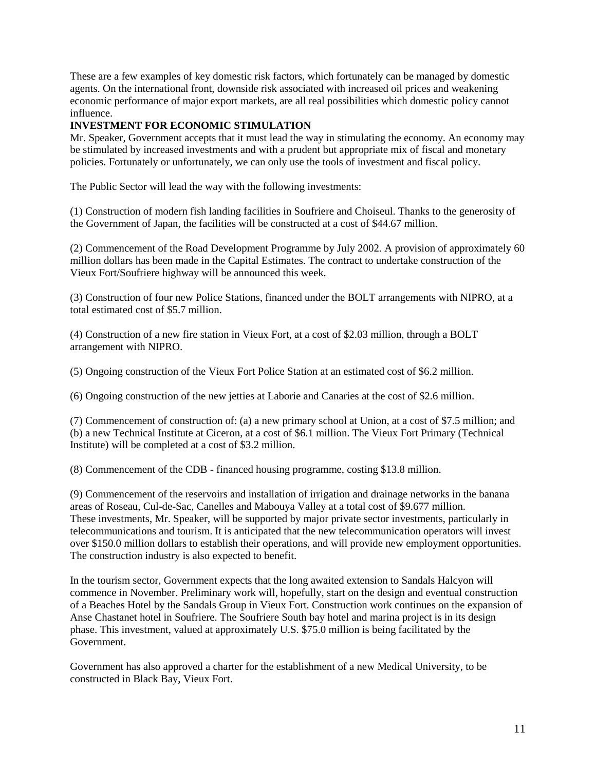These are a few examples of key domestic risk factors, which fortunately can be managed by domestic agents. On the international front, downside risk associated with increased oil prices and weakening economic performance of major export markets, are all real possibilities which domestic policy cannot influence.

# **INVESTMENT FOR ECONOMIC STIMULATION**

Mr. Speaker, Government accepts that it must lead the way in stimulating the economy. An economy may be stimulated by increased investments and with a prudent but appropriate mix of fiscal and monetary policies. Fortunately or unfortunately, we can only use the tools of investment and fiscal policy.

The Public Sector will lead the way with the following investments:

(1) Construction of modern fish landing facilities in Soufriere and Choiseul. Thanks to the generosity of the Government of Japan, the facilities will be constructed at a cost of \$44.67 million.

(2) Commencement of the Road Development Programme by July 2002. A provision of approximately 60 million dollars has been made in the Capital Estimates. The contract to undertake construction of the Vieux Fort/Soufriere highway will be announced this week.

(3) Construction of four new Police Stations, financed under the BOLT arrangements with NIPRO, at a total estimated cost of \$5.7 million.

(4) Construction of a new fire station in Vieux Fort, at a cost of \$2.03 million, through a BOLT arrangement with NIPRO.

(5) Ongoing construction of the Vieux Fort Police Station at an estimated cost of \$6.2 million.

(6) Ongoing construction of the new jetties at Laborie and Canaries at the cost of \$2.6 million.

(7) Commencement of construction of: (a) a new primary school at Union, at a cost of \$7.5 million; and (b) a new Technical Institute at Ciceron, at a cost of \$6.1 million. The Vieux Fort Primary (Technical Institute) will be completed at a cost of \$3.2 million.

(8) Commencement of the CDB - financed housing programme, costing \$13.8 million.

(9) Commencement of the reservoirs and installation of irrigation and drainage networks in the banana areas of Roseau, Cul-de-Sac, Canelles and Mabouya Valley at a total cost of \$9.677 million. These investments, Mr. Speaker, will be supported by major private sector investments, particularly in telecommunications and tourism. It is anticipated that the new telecommunication operators will invest over \$150.0 million dollars to establish their operations, and will provide new employment opportunities. The construction industry is also expected to benefit.

In the tourism sector, Government expects that the long awaited extension to Sandals Halcyon will commence in November. Preliminary work will, hopefully, start on the design and eventual construction of a Beaches Hotel by the Sandals Group in Vieux Fort. Construction work continues on the expansion of Anse Chastanet hotel in Soufriere. The Soufriere South bay hotel and marina project is in its design phase. This investment, valued at approximately U.S. \$75.0 million is being facilitated by the Government.

Government has also approved a charter for the establishment of a new Medical University, to be constructed in Black Bay, Vieux Fort.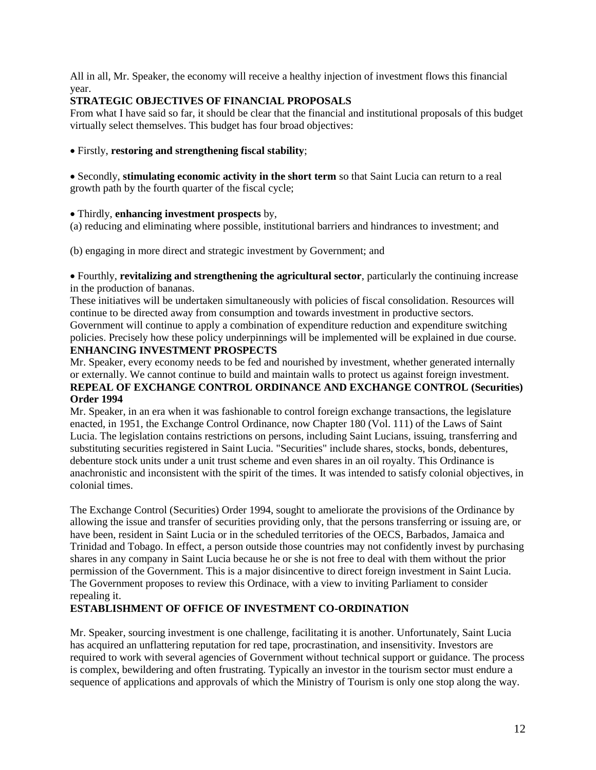All in all, Mr. Speaker, the economy will receive a healthy injection of investment flows this financial year.

## **STRATEGIC OBJECTIVES OF FINANCIAL PROPOSALS**

From what I have said so far, it should be clear that the financial and institutional proposals of this budget virtually select themselves. This budget has four broad objectives:

#### Firstly, **restoring and strengthening fiscal stability**;

Secondly, **stimulating economic activity in the short term** so that Saint Lucia can return to a real growth path by the fourth quarter of the fiscal cycle;

#### Thirdly, **enhancing investment prospects** by,

(a) reducing and eliminating where possible, institutional barriers and hindrances to investment; and

(b) engaging in more direct and strategic investment by Government; and

Fourthly, **revitalizing and strengthening the agricultural sector**, particularly the continuing increase in the production of bananas.

These initiatives will be undertaken simultaneously with policies of fiscal consolidation. Resources will continue to be directed away from consumption and towards investment in productive sectors. Government will continue to apply a combination of expenditure reduction and expenditure switching policies. Precisely how these policy underpinnings will be implemented will be explained in due course.

#### **ENHANCING INVESTMENT PROSPECTS**

Mr. Speaker, every economy needs to be fed and nourished by investment, whether generated internally or externally. We cannot continue to build and maintain walls to protect us against foreign investment. **REPEAL OF EXCHANGE CONTROL ORDINANCE AND EXCHANGE CONTROL (Securities) Order 1994**

Mr. Speaker, in an era when it was fashionable to control foreign exchange transactions, the legislature enacted, in 1951, the Exchange Control Ordinance, now Chapter 180 (Vol. 111) of the Laws of Saint Lucia. The legislation contains restrictions on persons, including Saint Lucians, issuing, transferring and substituting securities registered in Saint Lucia. "Securities" include shares, stocks, bonds, debentures, debenture stock units under a unit trust scheme and even shares in an oil royalty. This Ordinance is anachronistic and inconsistent with the spirit of the times. It was intended to satisfy colonial objectives, in colonial times.

The Exchange Control (Securities) Order 1994, sought to ameliorate the provisions of the Ordinance by allowing the issue and transfer of securities providing only, that the persons transferring or issuing are, or have been, resident in Saint Lucia or in the scheduled territories of the OECS, Barbados, Jamaica and Trinidad and Tobago. In effect, a person outside those countries may not confidently invest by purchasing shares in any company in Saint Lucia because he or she is not free to deal with them without the prior permission of the Government. This is a major disincentive to direct foreign investment in Saint Lucia. The Government proposes to review this Ordinace, with a view to inviting Parliament to consider repealing it.

#### **ESTABLISHMENT OF OFFICE OF INVESTMENT CO-ORDINATION**

Mr. Speaker, sourcing investment is one challenge, facilitating it is another. Unfortunately, Saint Lucia has acquired an unflattering reputation for red tape, procrastination, and insensitivity. Investors are required to work with several agencies of Government without technical support or guidance. The process is complex, bewildering and often frustrating. Typically an investor in the tourism sector must endure a sequence of applications and approvals of which the Ministry of Tourism is only one stop along the way.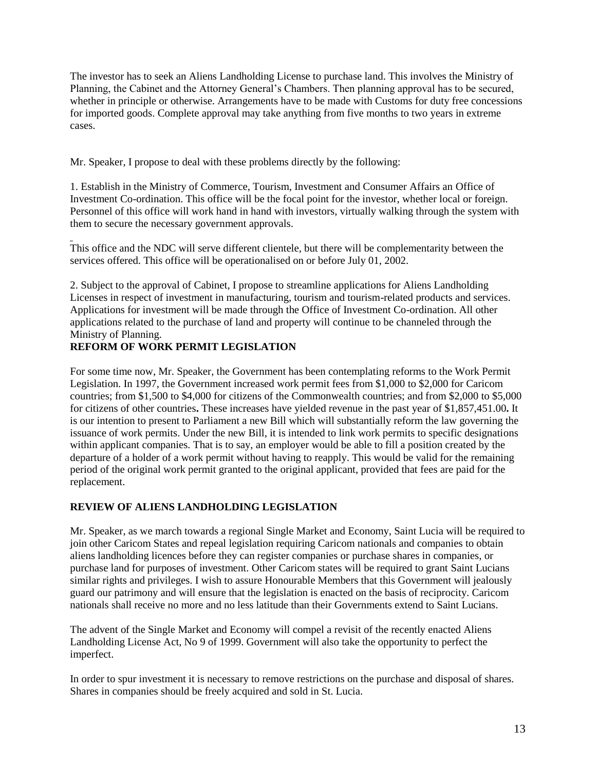The investor has to seek an Aliens Landholding License to purchase land. This involves the Ministry of Planning, the Cabinet and the Attorney General's Chambers. Then planning approval has to be secured, whether in principle or otherwise. Arrangements have to be made with Customs for duty free concessions for imported goods. Complete approval may take anything from five months to two years in extreme cases.

Mr. Speaker, I propose to deal with these problems directly by the following:

1. Establish in the Ministry of Commerce, Tourism, Investment and Consumer Affairs an Office of Investment Co-ordination. This office will be the focal point for the investor, whether local or foreign. Personnel of this office will work hand in hand with investors, virtually walking through the system with them to secure the necessary government approvals.

This office and the NDC will serve different clientele, but there will be complementarity between the services offered. This office will be operationalised on or before July 01, 2002.

2. Subject to the approval of Cabinet, I propose to streamline applications for Aliens Landholding Licenses in respect of investment in manufacturing, tourism and tourism-related products and services. Applications for investment will be made through the Office of Investment Co-ordination. All other applications related to the purchase of land and property will continue to be channeled through the Ministry of Planning.

# **REFORM OF WORK PERMIT LEGISLATION**

For some time now, Mr. Speaker, the Government has been contemplating reforms to the Work Permit Legislation. In 1997, the Government increased work permit fees from \$1,000 to \$2,000 for Caricom countries; from \$1,500 to \$4,000 for citizens of the Commonwealth countries; and from \$2,000 to \$5,000 for citizens of other countries**.** These increases have yielded revenue in the past year of \$1,857,451.00**.** It is our intention to present to Parliament a new Bill which will substantially reform the law governing the issuance of work permits. Under the new Bill, it is intended to link work permits to specific designations within applicant companies. That is to say, an employer would be able to fill a position created by the departure of a holder of a work permit without having to reapply. This would be valid for the remaining period of the original work permit granted to the original applicant, provided that fees are paid for the replacement.

# **REVIEW OF ALIENS LANDHOLDING LEGISLATION**

Mr. Speaker, as we march towards a regional Single Market and Economy, Saint Lucia will be required to join other Caricom States and repeal legislation requiring Caricom nationals and companies to obtain aliens landholding licences before they can register companies or purchase shares in companies, or purchase land for purposes of investment. Other Caricom states will be required to grant Saint Lucians similar rights and privileges. I wish to assure Honourable Members that this Government will jealously guard our patrimony and will ensure that the legislation is enacted on the basis of reciprocity. Caricom nationals shall receive no more and no less latitude than their Governments extend to Saint Lucians.

The advent of the Single Market and Economy will compel a revisit of the recently enacted Aliens Landholding License Act, No 9 of 1999. Government will also take the opportunity to perfect the imperfect.

In order to spur investment it is necessary to remove restrictions on the purchase and disposal of shares. Shares in companies should be freely acquired and sold in St. Lucia.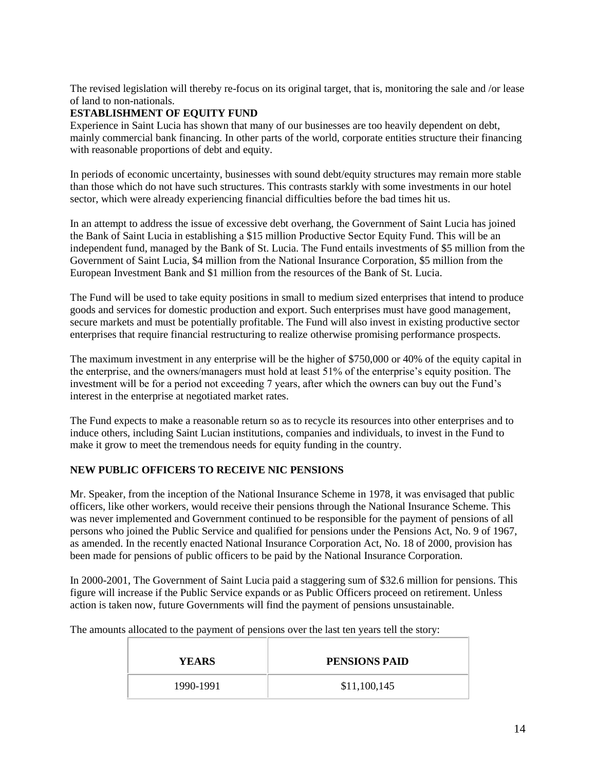The revised legislation will thereby re-focus on its original target, that is, monitoring the sale and /or lease of land to non-nationals.

# **ESTABLISHMENT OF EQUITY FUND**

Experience in Saint Lucia has shown that many of our businesses are too heavily dependent on debt, mainly commercial bank financing. In other parts of the world, corporate entities structure their financing with reasonable proportions of debt and equity.

In periods of economic uncertainty, businesses with sound debt/equity structures may remain more stable than those which do not have such structures. This contrasts starkly with some investments in our hotel sector, which were already experiencing financial difficulties before the bad times hit us.

In an attempt to address the issue of excessive debt overhang, the Government of Saint Lucia has joined the Bank of Saint Lucia in establishing a \$15 million Productive Sector Equity Fund. This will be an independent fund, managed by the Bank of St. Lucia. The Fund entails investments of \$5 million from the Government of Saint Lucia, \$4 million from the National Insurance Corporation, \$5 million from the European Investment Bank and \$1 million from the resources of the Bank of St. Lucia.

The Fund will be used to take equity positions in small to medium sized enterprises that intend to produce goods and services for domestic production and export. Such enterprises must have good management, secure markets and must be potentially profitable. The Fund will also invest in existing productive sector enterprises that require financial restructuring to realize otherwise promising performance prospects.

The maximum investment in any enterprise will be the higher of \$750,000 or 40% of the equity capital in the enterprise, and the owners/managers must hold at least 51% of the enterprise's equity position. The investment will be for a period not exceeding 7 years, after which the owners can buy out the Fund's interest in the enterprise at negotiated market rates.

The Fund expects to make a reasonable return so as to recycle its resources into other enterprises and to induce others, including Saint Lucian institutions, companies and individuals, to invest in the Fund to make it grow to meet the tremendous needs for equity funding in the country.

# **NEW PUBLIC OFFICERS TO RECEIVE NIC PENSIONS**

Mr. Speaker, from the inception of the National Insurance Scheme in 1978, it was envisaged that public officers, like other workers, would receive their pensions through the National Insurance Scheme. This was never implemented and Government continued to be responsible for the payment of pensions of all persons who joined the Public Service and qualified for pensions under the Pensions Act, No. 9 of 1967, as amended. In the recently enacted National Insurance Corporation Act, No. 18 of 2000, provision has been made for pensions of public officers to be paid by the National Insurance Corporation.

In 2000-2001, The Government of Saint Lucia paid a staggering sum of \$32.6 million for pensions. This figure will increase if the Public Service expands or as Public Officers proceed on retirement. Unless action is taken now, future Governments will find the payment of pensions unsustainable.

The amounts allocated to the payment of pensions over the last ten years tell the story:

| <b>YEARS</b> | <b>PENSIONS PAID</b> |
|--------------|----------------------|
| 1990-1991    | \$11,100,145         |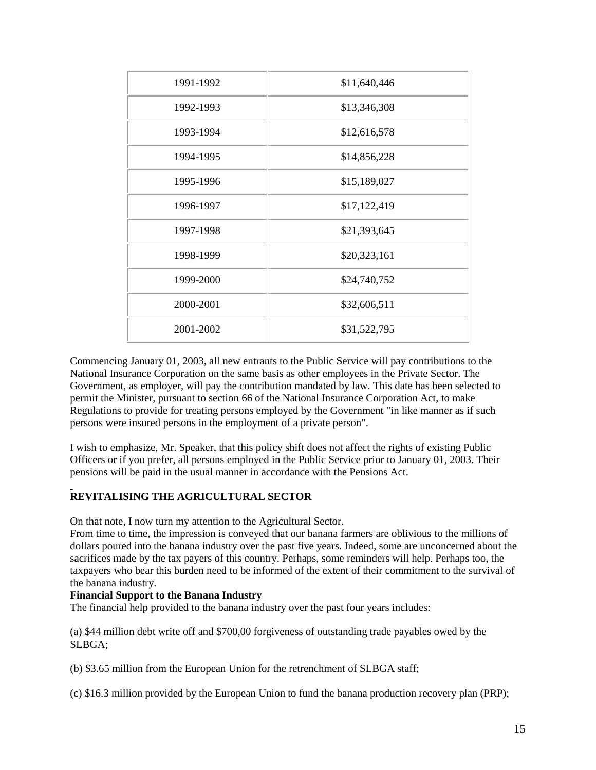| 1991-1992 | \$11,640,446 |
|-----------|--------------|
| 1992-1993 | \$13,346,308 |
| 1993-1994 | \$12,616,578 |
| 1994-1995 | \$14,856,228 |
| 1995-1996 | \$15,189,027 |
| 1996-1997 | \$17,122,419 |
| 1997-1998 | \$21,393,645 |
| 1998-1999 | \$20,323,161 |
| 1999-2000 | \$24,740,752 |
| 2000-2001 | \$32,606,511 |
| 2001-2002 | \$31,522,795 |

Commencing January 01, 2003, all new entrants to the Public Service will pay contributions to the National Insurance Corporation on the same basis as other employees in the Private Sector. The Government, as employer, will pay the contribution mandated by law. This date has been selected to permit the Minister, pursuant to section 66 of the National Insurance Corporation Act, to make Regulations to provide for treating persons employed by the Government "in like manner as if such persons were insured persons in the employment of a private person".

I wish to emphasize, Mr. Speaker, that this policy shift does not affect the rights of existing Public Officers or if you prefer, all persons employed in the Public Service prior to January 01, 2003. Their pensions will be paid in the usual manner in accordance with the Pensions Act.

# **REVITALISING THE AGRICULTURAL SECTOR**

On that note, I now turn my attention to the Agricultural Sector.

From time to time, the impression is conveyed that our banana farmers are oblivious to the millions of dollars poured into the banana industry over the past five years. Indeed, some are unconcerned about the sacrifices made by the tax payers of this country. Perhaps, some reminders will help. Perhaps too, the taxpayers who bear this burden need to be informed of the extent of their commitment to the survival of the banana industry.

#### **Financial Support to the Banana Industry**

The financial help provided to the banana industry over the past four years includes:

(a) \$44 million debt write off and \$700,00 forgiveness of outstanding trade payables owed by the SLBGA;

(b) \$3.65 million from the European Union for the retrenchment of SLBGA staff;

(c) \$16.3 million provided by the European Union to fund the banana production recovery plan (PRP);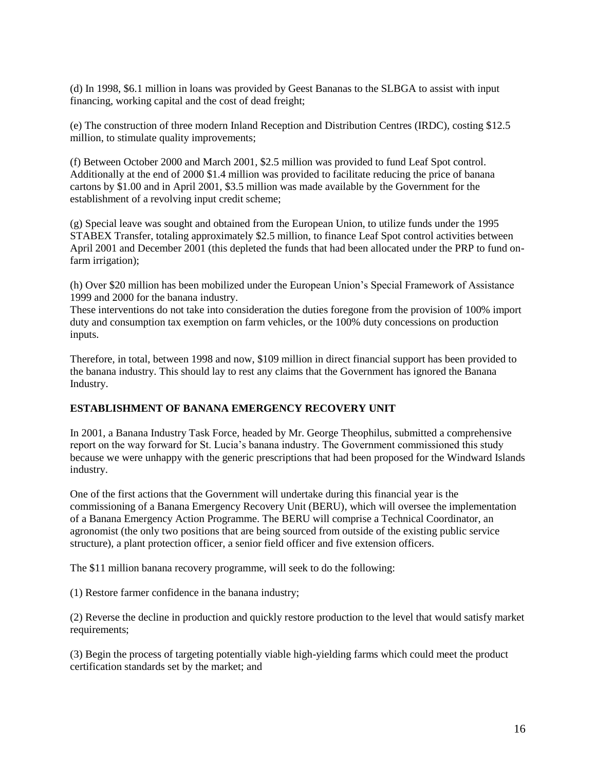(d) In 1998, \$6.1 million in loans was provided by Geest Bananas to the SLBGA to assist with input financing, working capital and the cost of dead freight;

(e) The construction of three modern Inland Reception and Distribution Centres (IRDC), costing \$12.5 million, to stimulate quality improvements;

(f) Between October 2000 and March 2001, \$2.5 million was provided to fund Leaf Spot control. Additionally at the end of 2000 \$1.4 million was provided to facilitate reducing the price of banana cartons by \$1.00 and in April 2001, \$3.5 million was made available by the Government for the establishment of a revolving input credit scheme;

(g) Special leave was sought and obtained from the European Union, to utilize funds under the 1995 STABEX Transfer, totaling approximately \$2.5 million, to finance Leaf Spot control activities between April 2001 and December 2001 (this depleted the funds that had been allocated under the PRP to fund onfarm irrigation);

(h) Over \$20 million has been mobilized under the European Union's Special Framework of Assistance 1999 and 2000 for the banana industry.

These interventions do not take into consideration the duties foregone from the provision of 100% import duty and consumption tax exemption on farm vehicles, or the 100% duty concessions on production inputs.

Therefore, in total, between 1998 and now, \$109 million in direct financial support has been provided to the banana industry. This should lay to rest any claims that the Government has ignored the Banana Industry.

#### **ESTABLISHMENT OF BANANA EMERGENCY RECOVERY UNIT**

In 2001, a Banana Industry Task Force, headed by Mr. George Theophilus, submitted a comprehensive report on the way forward for St. Lucia's banana industry. The Government commissioned this study because we were unhappy with the generic prescriptions that had been proposed for the Windward Islands industry.

One of the first actions that the Government will undertake during this financial year is the commissioning of a Banana Emergency Recovery Unit (BERU), which will oversee the implementation of a Banana Emergency Action Programme. The BERU will comprise a Technical Coordinator, an agronomist (the only two positions that are being sourced from outside of the existing public service structure), a plant protection officer, a senior field officer and five extension officers.

The \$11 million banana recovery programme, will seek to do the following:

(1) Restore farmer confidence in the banana industry;

(2) Reverse the decline in production and quickly restore production to the level that would satisfy market requirements;

(3) Begin the process of targeting potentially viable high-yielding farms which could meet the product certification standards set by the market; and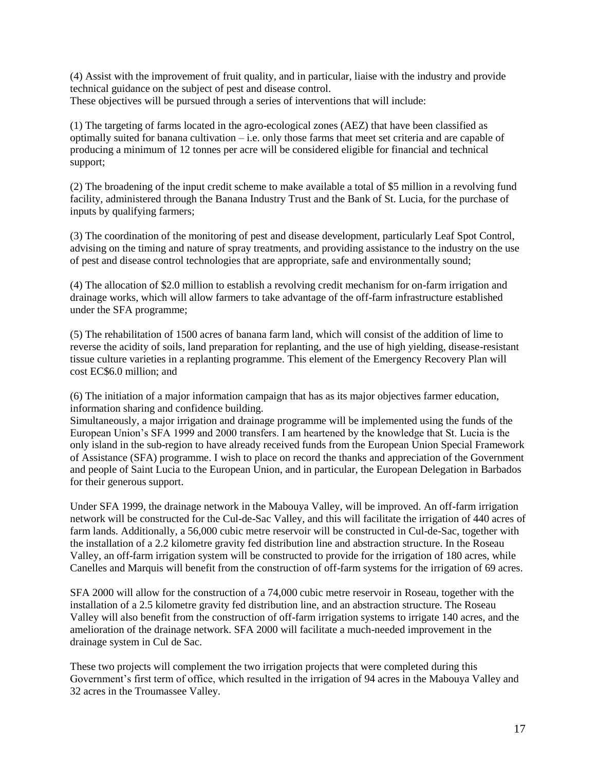(4) Assist with the improvement of fruit quality, and in particular, liaise with the industry and provide technical guidance on the subject of pest and disease control. These objectives will be pursued through a series of interventions that will include:

(1) The targeting of farms located in the agro-ecological zones (AEZ) that have been classified as optimally suited for banana cultivation – i.e. only those farms that meet set criteria and are capable of producing a minimum of 12 tonnes per acre will be considered eligible for financial and technical support;

(2) The broadening of the input credit scheme to make available a total of \$5 million in a revolving fund facility, administered through the Banana Industry Trust and the Bank of St. Lucia, for the purchase of inputs by qualifying farmers;

(3) The coordination of the monitoring of pest and disease development, particularly Leaf Spot Control, advising on the timing and nature of spray treatments, and providing assistance to the industry on the use of pest and disease control technologies that are appropriate, safe and environmentally sound;

(4) The allocation of \$2.0 million to establish a revolving credit mechanism for on-farm irrigation and drainage works, which will allow farmers to take advantage of the off-farm infrastructure established under the SFA programme;

(5) The rehabilitation of 1500 acres of banana farm land, which will consist of the addition of lime to reverse the acidity of soils, land preparation for replanting, and the use of high yielding, disease-resistant tissue culture varieties in a replanting programme. This element of the Emergency Recovery Plan will cost EC\$6.0 million; and

(6) The initiation of a major information campaign that has as its major objectives farmer education, information sharing and confidence building.

Simultaneously, a major irrigation and drainage programme will be implemented using the funds of the European Union's SFA 1999 and 2000 transfers. I am heartened by the knowledge that St. Lucia is the only island in the sub-region to have already received funds from the European Union Special Framework of Assistance (SFA) programme. I wish to place on record the thanks and appreciation of the Government and people of Saint Lucia to the European Union, and in particular, the European Delegation in Barbados for their generous support.

Under SFA 1999, the drainage network in the Mabouya Valley, will be improved. An off-farm irrigation network will be constructed for the Cul-de-Sac Valley, and this will facilitate the irrigation of 440 acres of farm lands. Additionally, a 56,000 cubic metre reservoir will be constructed in Cul-de-Sac, together with the installation of a 2.2 kilometre gravity fed distribution line and abstraction structure. In the Roseau Valley, an off-farm irrigation system will be constructed to provide for the irrigation of 180 acres, while Canelles and Marquis will benefit from the construction of off-farm systems for the irrigation of 69 acres.

SFA 2000 will allow for the construction of a 74,000 cubic metre reservoir in Roseau, together with the installation of a 2.5 kilometre gravity fed distribution line, and an abstraction structure. The Roseau Valley will also benefit from the construction of off-farm irrigation systems to irrigate 140 acres, and the amelioration of the drainage network. SFA 2000 will facilitate a much-needed improvement in the drainage system in Cul de Sac.

These two projects will complement the two irrigation projects that were completed during this Government's first term of office, which resulted in the irrigation of 94 acres in the Mabouya Valley and 32 acres in the Troumassee Valley.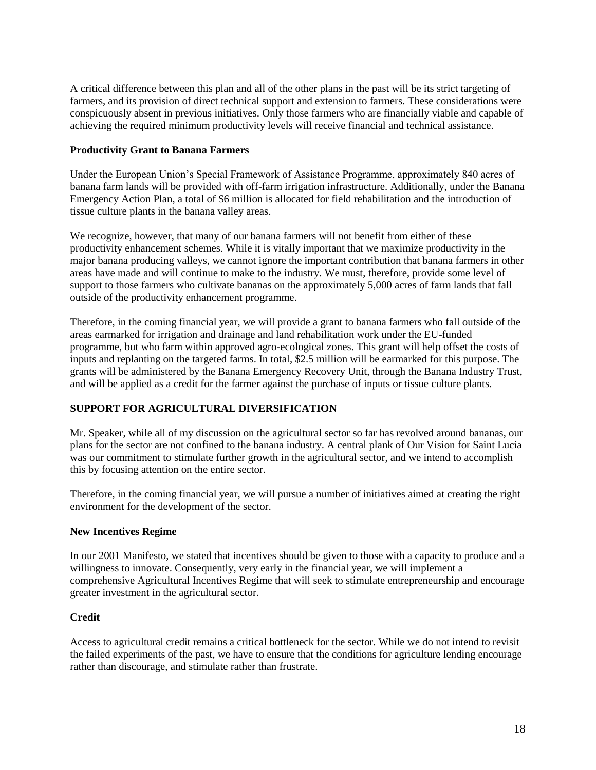A critical difference between this plan and all of the other plans in the past will be its strict targeting of farmers, and its provision of direct technical support and extension to farmers. These considerations were conspicuously absent in previous initiatives. Only those farmers who are financially viable and capable of achieving the required minimum productivity levels will receive financial and technical assistance.

#### **Productivity Grant to Banana Farmers**

Under the European Union's Special Framework of Assistance Programme, approximately 840 acres of banana farm lands will be provided with off-farm irrigation infrastructure. Additionally, under the Banana Emergency Action Plan, a total of \$6 million is allocated for field rehabilitation and the introduction of tissue culture plants in the banana valley areas.

We recognize, however, that many of our banana farmers will not benefit from either of these productivity enhancement schemes. While it is vitally important that we maximize productivity in the major banana producing valleys, we cannot ignore the important contribution that banana farmers in other areas have made and will continue to make to the industry. We must, therefore, provide some level of support to those farmers who cultivate bananas on the approximately 5,000 acres of farm lands that fall outside of the productivity enhancement programme.

Therefore, in the coming financial year, we will provide a grant to banana farmers who fall outside of the areas earmarked for irrigation and drainage and land rehabilitation work under the EU-funded programme, but who farm within approved agro-ecological zones. This grant will help offset the costs of inputs and replanting on the targeted farms. In total, \$2.5 million will be earmarked for this purpose. The grants will be administered by the Banana Emergency Recovery Unit, through the Banana Industry Trust, and will be applied as a credit for the farmer against the purchase of inputs or tissue culture plants.

# **SUPPORT FOR AGRICULTURAL DIVERSIFICATION**

Mr. Speaker, while all of my discussion on the agricultural sector so far has revolved around bananas, our plans for the sector are not confined to the banana industry. A central plank of Our Vision for Saint Lucia was our commitment to stimulate further growth in the agricultural sector, and we intend to accomplish this by focusing attention on the entire sector.

Therefore, in the coming financial year, we will pursue a number of initiatives aimed at creating the right environment for the development of the sector.

# **New Incentives Regime**

In our 2001 Manifesto, we stated that incentives should be given to those with a capacity to produce and a willingness to innovate. Consequently, very early in the financial year, we will implement a comprehensive Agricultural Incentives Regime that will seek to stimulate entrepreneurship and encourage greater investment in the agricultural sector.

# **Credit**

Access to agricultural credit remains a critical bottleneck for the sector. While we do not intend to revisit the failed experiments of the past, we have to ensure that the conditions for agriculture lending encourage rather than discourage, and stimulate rather than frustrate.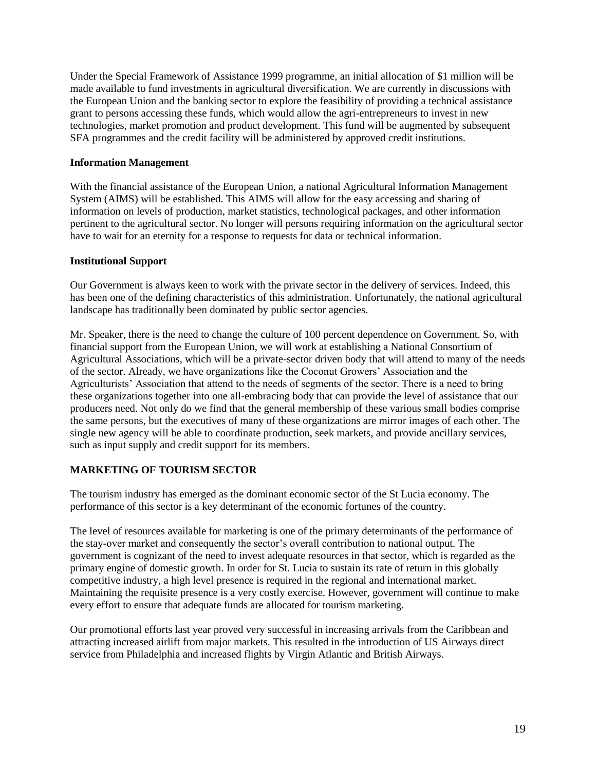Under the Special Framework of Assistance 1999 programme, an initial allocation of \$1 million will be made available to fund investments in agricultural diversification. We are currently in discussions with the European Union and the banking sector to explore the feasibility of providing a technical assistance grant to persons accessing these funds, which would allow the agri-entrepreneurs to invest in new technologies, market promotion and product development. This fund will be augmented by subsequent SFA programmes and the credit facility will be administered by approved credit institutions.

#### **Information Management**

With the financial assistance of the European Union, a national Agricultural Information Management System (AIMS) will be established. This AIMS will allow for the easy accessing and sharing of information on levels of production, market statistics, technological packages, and other information pertinent to the agricultural sector. No longer will persons requiring information on the agricultural sector have to wait for an eternity for a response to requests for data or technical information.

#### **Institutional Support**

Our Government is always keen to work with the private sector in the delivery of services. Indeed, this has been one of the defining characteristics of this administration. Unfortunately, the national agricultural landscape has traditionally been dominated by public sector agencies.

Mr. Speaker, there is the need to change the culture of 100 percent dependence on Government. So, with financial support from the European Union, we will work at establishing a National Consortium of Agricultural Associations, which will be a private-sector driven body that will attend to many of the needs of the sector. Already, we have organizations like the Coconut Growers' Association and the Agriculturists' Association that attend to the needs of segments of the sector. There is a need to bring these organizations together into one all-embracing body that can provide the level of assistance that our producers need. Not only do we find that the general membership of these various small bodies comprise the same persons, but the executives of many of these organizations are mirror images of each other. The single new agency will be able to coordinate production, seek markets, and provide ancillary services, such as input supply and credit support for its members.

# **MARKETING OF TOURISM SECTOR**

The tourism industry has emerged as the dominant economic sector of the St Lucia economy. The performance of this sector is a key determinant of the economic fortunes of the country.

The level of resources available for marketing is one of the primary determinants of the performance of the stay-over market and consequently the sector's overall contribution to national output. The government is cognizant of the need to invest adequate resources in that sector, which is regarded as the primary engine of domestic growth. In order for St. Lucia to sustain its rate of return in this globally competitive industry, a high level presence is required in the regional and international market. Maintaining the requisite presence is a very costly exercise. However, government will continue to make every effort to ensure that adequate funds are allocated for tourism marketing.

Our promotional efforts last year proved very successful in increasing arrivals from the Caribbean and attracting increased airlift from major markets. This resulted in the introduction of US Airways direct service from Philadelphia and increased flights by Virgin Atlantic and British Airways.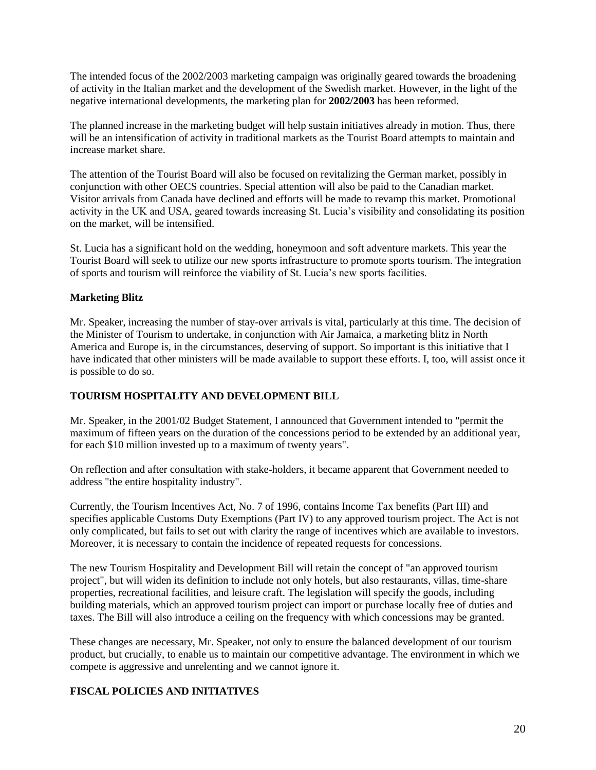The intended focus of the 2002/2003 marketing campaign was originally geared towards the broadening of activity in the Italian market and the development of the Swedish market. However, in the light of the negative international developments, the marketing plan for **2002/2003** has been reformed.

The planned increase in the marketing budget will help sustain initiatives already in motion. Thus, there will be an intensification of activity in traditional markets as the Tourist Board attempts to maintain and increase market share.

The attention of the Tourist Board will also be focused on revitalizing the German market, possibly in conjunction with other OECS countries. Special attention will also be paid to the Canadian market. Visitor arrivals from Canada have declined and efforts will be made to revamp this market. Promotional activity in the UK and USA, geared towards increasing St. Lucia's visibility and consolidating its position on the market, will be intensified.

St. Lucia has a significant hold on the wedding, honeymoon and soft adventure markets. This year the Tourist Board will seek to utilize our new sports infrastructure to promote sports tourism. The integration of sports and tourism will reinforce the viability of St. Lucia's new sports facilities.

# **Marketing Blitz**

Mr. Speaker, increasing the number of stay-over arrivals is vital, particularly at this time. The decision of the Minister of Tourism to undertake, in conjunction with Air Jamaica, a marketing blitz in North America and Europe is, in the circumstances, deserving of support. So important is this initiative that I have indicated that other ministers will be made available to support these efforts. I, too, will assist once it is possible to do so.

# **TOURISM HOSPITALITY AND DEVELOPMENT BILL**

Mr. Speaker, in the 2001/02 Budget Statement, I announced that Government intended to "permit the maximum of fifteen years on the duration of the concessions period to be extended by an additional year, for each \$10 million invested up to a maximum of twenty years".

On reflection and after consultation with stake-holders, it became apparent that Government needed to address "the entire hospitality industry".

Currently, the Tourism Incentives Act, No. 7 of 1996, contains Income Tax benefits (Part III) and specifies applicable Customs Duty Exemptions (Part IV) to any approved tourism project. The Act is not only complicated, but fails to set out with clarity the range of incentives which are available to investors. Moreover, it is necessary to contain the incidence of repeated requests for concessions.

The new Tourism Hospitality and Development Bill will retain the concept of "an approved tourism project", but will widen its definition to include not only hotels, but also restaurants, villas, time-share properties, recreational facilities, and leisure craft. The legislation will specify the goods, including building materials, which an approved tourism project can import or purchase locally free of duties and taxes. The Bill will also introduce a ceiling on the frequency with which concessions may be granted.

These changes are necessary, Mr. Speaker, not only to ensure the balanced development of our tourism product, but crucially, to enable us to maintain our competitive advantage. The environment in which we compete is aggressive and unrelenting and we cannot ignore it.

# **FISCAL POLICIES AND INITIATIVES**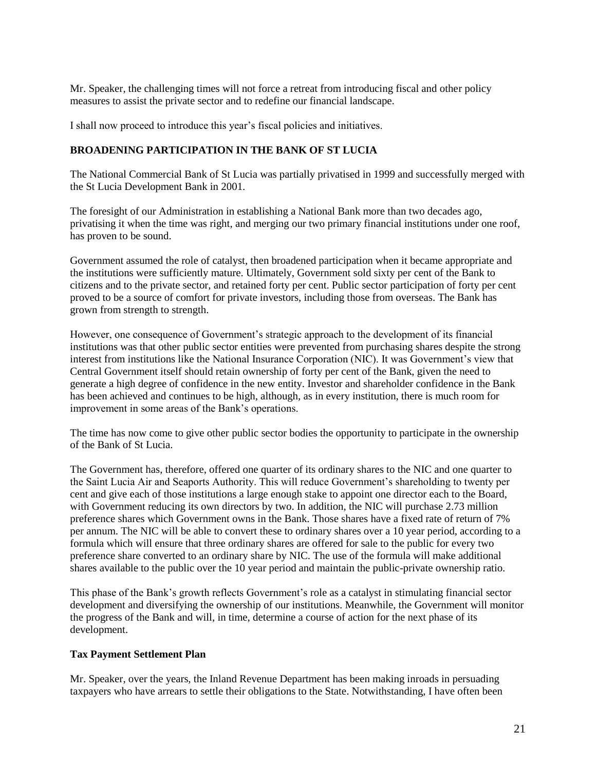Mr. Speaker, the challenging times will not force a retreat from introducing fiscal and other policy measures to assist the private sector and to redefine our financial landscape.

I shall now proceed to introduce this year's fiscal policies and initiatives.

#### **BROADENING PARTICIPATION IN THE BANK OF ST LUCIA**

The National Commercial Bank of St Lucia was partially privatised in 1999 and successfully merged with the St Lucia Development Bank in 2001.

The foresight of our Administration in establishing a National Bank more than two decades ago, privatising it when the time was right, and merging our two primary financial institutions under one roof, has proven to be sound.

Government assumed the role of catalyst, then broadened participation when it became appropriate and the institutions were sufficiently mature. Ultimately, Government sold sixty per cent of the Bank to citizens and to the private sector, and retained forty per cent. Public sector participation of forty per cent proved to be a source of comfort for private investors, including those from overseas. The Bank has grown from strength to strength.

However, one consequence of Government's strategic approach to the development of its financial institutions was that other public sector entities were prevented from purchasing shares despite the strong interest from institutions like the National Insurance Corporation (NIC). It was Government's view that Central Government itself should retain ownership of forty per cent of the Bank, given the need to generate a high degree of confidence in the new entity. Investor and shareholder confidence in the Bank has been achieved and continues to be high, although, as in every institution, there is much room for improvement in some areas of the Bank's operations.

The time has now come to give other public sector bodies the opportunity to participate in the ownership of the Bank of St Lucia.

The Government has, therefore, offered one quarter of its ordinary shares to the NIC and one quarter to the Saint Lucia Air and Seaports Authority. This will reduce Government's shareholding to twenty per cent and give each of those institutions a large enough stake to appoint one director each to the Board, with Government reducing its own directors by two. In addition, the NIC will purchase 2.73 million preference shares which Government owns in the Bank. Those shares have a fixed rate of return of 7% per annum. The NIC will be able to convert these to ordinary shares over a 10 year period, according to a formula which will ensure that three ordinary shares are offered for sale to the public for every two preference share converted to an ordinary share by NIC. The use of the formula will make additional shares available to the public over the 10 year period and maintain the public-private ownership ratio.

This phase of the Bank's growth reflects Government's role as a catalyst in stimulating financial sector development and diversifying the ownership of our institutions. Meanwhile, the Government will monitor the progress of the Bank and will, in time, determine a course of action for the next phase of its development.

#### **Tax Payment Settlement Plan**

Mr. Speaker, over the years, the Inland Revenue Department has been making inroads in persuading taxpayers who have arrears to settle their obligations to the State. Notwithstanding, I have often been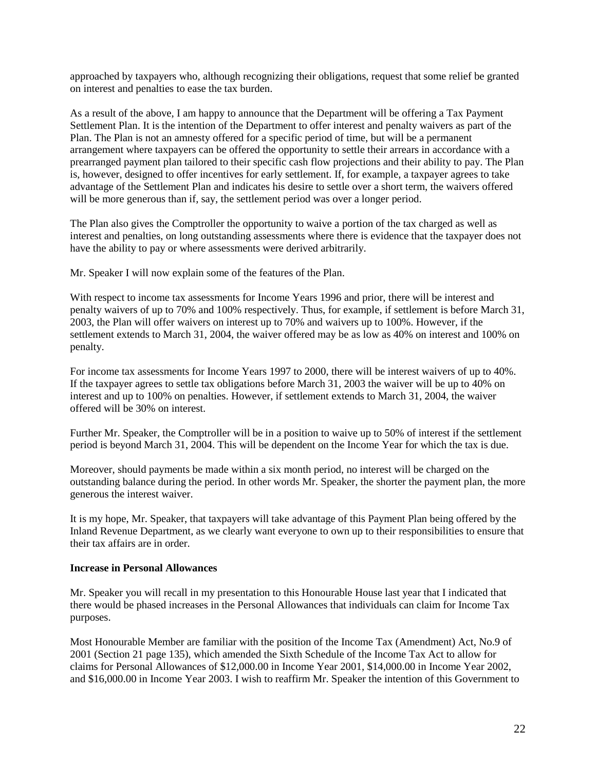approached by taxpayers who, although recognizing their obligations, request that some relief be granted on interest and penalties to ease the tax burden.

As a result of the above, I am happy to announce that the Department will be offering a Tax Payment Settlement Plan. It is the intention of the Department to offer interest and penalty waivers as part of the Plan. The Plan is not an amnesty offered for a specific period of time, but will be a permanent arrangement where taxpayers can be offered the opportunity to settle their arrears in accordance with a prearranged payment plan tailored to their specific cash flow projections and their ability to pay. The Plan is, however, designed to offer incentives for early settlement. If, for example, a taxpayer agrees to take advantage of the Settlement Plan and indicates his desire to settle over a short term, the waivers offered will be more generous than if, say, the settlement period was over a longer period.

The Plan also gives the Comptroller the opportunity to waive a portion of the tax charged as well as interest and penalties, on long outstanding assessments where there is evidence that the taxpayer does not have the ability to pay or where assessments were derived arbitrarily.

Mr. Speaker I will now explain some of the features of the Plan.

With respect to income tax assessments for Income Years 1996 and prior, there will be interest and penalty waivers of up to 70% and 100% respectively. Thus, for example, if settlement is before March 31, 2003, the Plan will offer waivers on interest up to 70% and waivers up to 100%. However, if the settlement extends to March 31, 2004, the waiver offered may be as low as 40% on interest and 100% on penalty.

For income tax assessments for Income Years 1997 to 2000, there will be interest waivers of up to 40%. If the taxpayer agrees to settle tax obligations before March 31, 2003 the waiver will be up to 40% on interest and up to 100% on penalties. However, if settlement extends to March 31, 2004, the waiver offered will be 30% on interest.

Further Mr. Speaker, the Comptroller will be in a position to waive up to 50% of interest if the settlement period is beyond March 31, 2004. This will be dependent on the Income Year for which the tax is due.

Moreover, should payments be made within a six month period, no interest will be charged on the outstanding balance during the period. In other words Mr. Speaker, the shorter the payment plan, the more generous the interest waiver.

It is my hope, Mr. Speaker, that taxpayers will take advantage of this Payment Plan being offered by the Inland Revenue Department, as we clearly want everyone to own up to their responsibilities to ensure that their tax affairs are in order.

#### **Increase in Personal Allowances**

Mr. Speaker you will recall in my presentation to this Honourable House last year that I indicated that there would be phased increases in the Personal Allowances that individuals can claim for Income Tax purposes.

Most Honourable Member are familiar with the position of the Income Tax (Amendment) Act, No.9 of 2001 (Section 21 page 135), which amended the Sixth Schedule of the Income Tax Act to allow for claims for Personal Allowances of \$12,000.00 in Income Year 2001, \$14,000.00 in Income Year 2002, and \$16,000.00 in Income Year 2003. I wish to reaffirm Mr. Speaker the intention of this Government to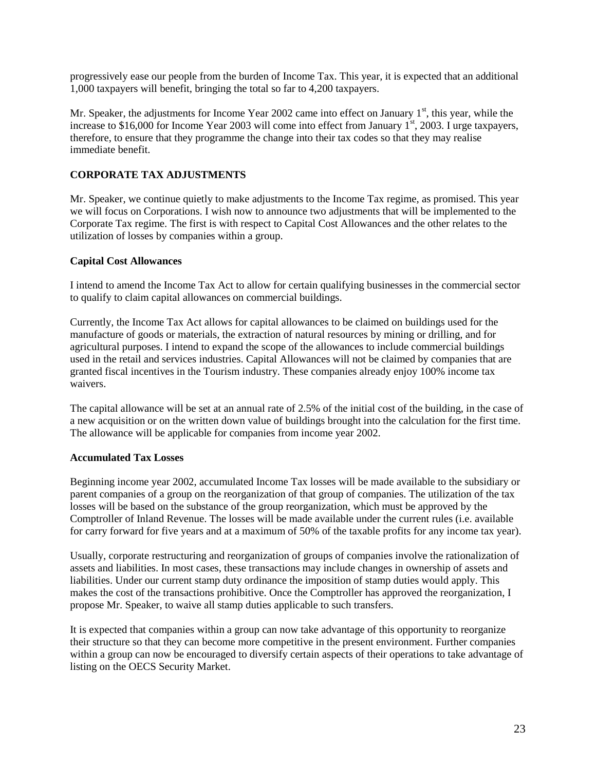progressively ease our people from the burden of Income Tax. This year, it is expected that an additional 1,000 taxpayers will benefit, bringing the total so far to 4,200 taxpayers.

Mr. Speaker, the adjustments for Income Year 2002 came into effect on January  $1<sup>st</sup>$ , this year, while the increase to \$16,000 for Income Year 2003 will come into effect from January  $1<sup>st</sup>$ , 2003. I urge taxpayers, therefore, to ensure that they programme the change into their tax codes so that they may realise immediate benefit.

## **CORPORATE TAX ADJUSTMENTS**

Mr. Speaker, we continue quietly to make adjustments to the Income Tax regime, as promised. This year we will focus on Corporations. I wish now to announce two adjustments that will be implemented to the Corporate Tax regime. The first is with respect to Capital Cost Allowances and the other relates to the utilization of losses by companies within a group.

#### **Capital Cost Allowances**

I intend to amend the Income Tax Act to allow for certain qualifying businesses in the commercial sector to qualify to claim capital allowances on commercial buildings.

Currently, the Income Tax Act allows for capital allowances to be claimed on buildings used for the manufacture of goods or materials, the extraction of natural resources by mining or drilling, and for agricultural purposes. I intend to expand the scope of the allowances to include commercial buildings used in the retail and services industries. Capital Allowances will not be claimed by companies that are granted fiscal incentives in the Tourism industry. These companies already enjoy 100% income tax waivers.

The capital allowance will be set at an annual rate of 2.5% of the initial cost of the building, in the case of a new acquisition or on the written down value of buildings brought into the calculation for the first time. The allowance will be applicable for companies from income year 2002.

#### **Accumulated Tax Losses**

Beginning income year 2002, accumulated Income Tax losses will be made available to the subsidiary or parent companies of a group on the reorganization of that group of companies. The utilization of the tax losses will be based on the substance of the group reorganization, which must be approved by the Comptroller of Inland Revenue. The losses will be made available under the current rules (i.e. available for carry forward for five years and at a maximum of 50% of the taxable profits for any income tax year).

Usually, corporate restructuring and reorganization of groups of companies involve the rationalization of assets and liabilities. In most cases, these transactions may include changes in ownership of assets and liabilities. Under our current stamp duty ordinance the imposition of stamp duties would apply. This makes the cost of the transactions prohibitive. Once the Comptroller has approved the reorganization, I propose Mr. Speaker, to waive all stamp duties applicable to such transfers.

It is expected that companies within a group can now take advantage of this opportunity to reorganize their structure so that they can become more competitive in the present environment. Further companies within a group can now be encouraged to diversify certain aspects of their operations to take advantage of listing on the OECS Security Market.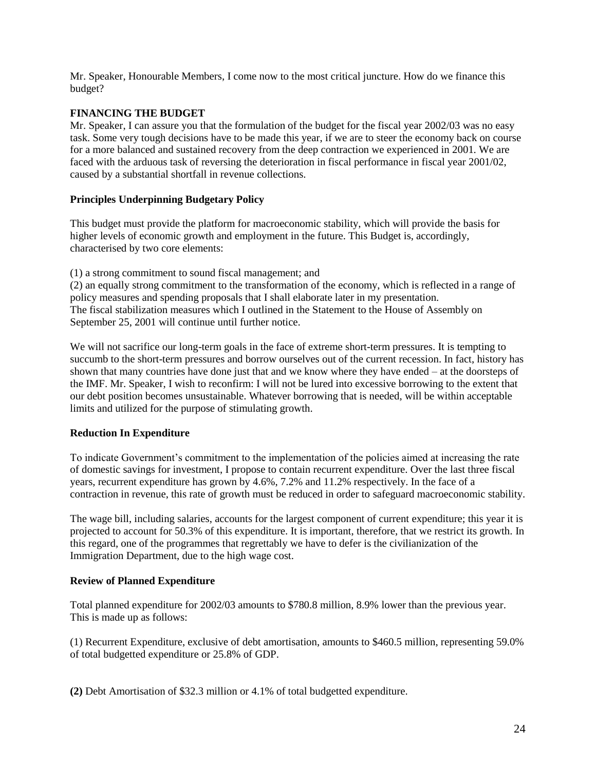Mr. Speaker, Honourable Members, I come now to the most critical juncture. How do we finance this budget?

# **FINANCING THE BUDGET**

Mr. Speaker, I can assure you that the formulation of the budget for the fiscal year 2002/03 was no easy task. Some very tough decisions have to be made this year, if we are to steer the economy back on course for a more balanced and sustained recovery from the deep contraction we experienced in 2001. We are faced with the arduous task of reversing the deterioration in fiscal performance in fiscal year 2001/02, caused by a substantial shortfall in revenue collections.

# **Principles Underpinning Budgetary Policy**

This budget must provide the platform for macroeconomic stability, which will provide the basis for higher levels of economic growth and employment in the future. This Budget is, accordingly, characterised by two core elements:

(1) a strong commitment to sound fiscal management; and

(2) an equally strong commitment to the transformation of the economy, which is reflected in a range of policy measures and spending proposals that I shall elaborate later in my presentation. The fiscal stabilization measures which I outlined in the Statement to the House of Assembly on September 25, 2001 will continue until further notice.

We will not sacrifice our long-term goals in the face of extreme short-term pressures. It is tempting to succumb to the short-term pressures and borrow ourselves out of the current recession. In fact, history has shown that many countries have done just that and we know where they have ended – at the doorsteps of the IMF. Mr. Speaker, I wish to reconfirm: I will not be lured into excessive borrowing to the extent that our debt position becomes unsustainable. Whatever borrowing that is needed, will be within acceptable limits and utilized for the purpose of stimulating growth.

# **Reduction In Expenditure**

To indicate Government's commitment to the implementation of the policies aimed at increasing the rate of domestic savings for investment, I propose to contain recurrent expenditure. Over the last three fiscal years, recurrent expenditure has grown by 4.6%, 7.2% and 11.2% respectively. In the face of a contraction in revenue, this rate of growth must be reduced in order to safeguard macroeconomic stability.

The wage bill, including salaries, accounts for the largest component of current expenditure; this year it is projected to account for 50.3% of this expenditure. It is important, therefore, that we restrict its growth. In this regard, one of the programmes that regrettably we have to defer is the civilianization of the Immigration Department, due to the high wage cost.

# **Review of Planned Expenditure**

Total planned expenditure for 2002/03 amounts to \$780.8 million, 8.9% lower than the previous year. This is made up as follows:

(1) Recurrent Expenditure, exclusive of debt amortisation, amounts to \$460.5 million, representing 59.0% of total budgetted expenditure or 25.8% of GDP.

**(2)** Debt Amortisation of \$32.3 million or 4.1% of total budgetted expenditure.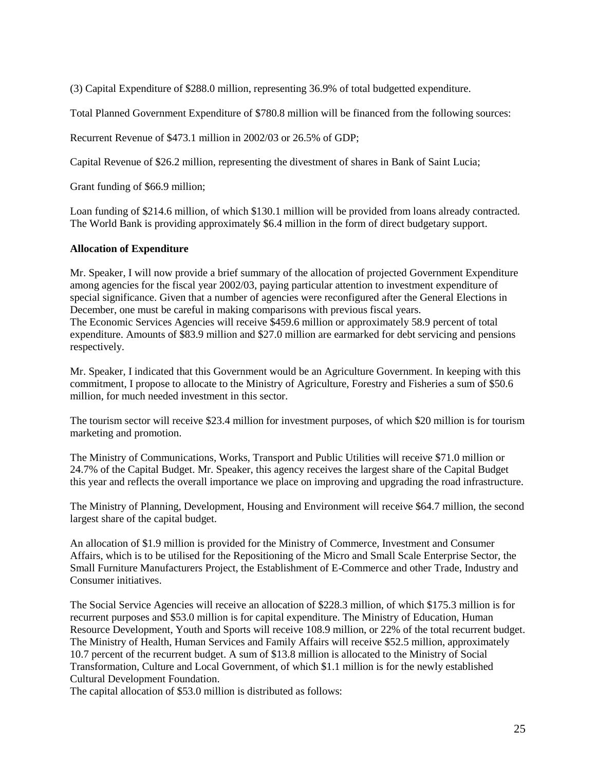(3) Capital Expenditure of \$288.0 million, representing 36.9% of total budgetted expenditure.

Total Planned Government Expenditure of \$780.8 million will be financed from the following sources:

Recurrent Revenue of \$473.1 million in 2002/03 or 26.5% of GDP;

Capital Revenue of \$26.2 million, representing the divestment of shares in Bank of Saint Lucia;

Grant funding of \$66.9 million;

Loan funding of \$214.6 million, of which \$130.1 million will be provided from loans already contracted. The World Bank is providing approximately \$6.4 million in the form of direct budgetary support.

#### **Allocation of Expenditure**

Mr. Speaker, I will now provide a brief summary of the allocation of projected Government Expenditure among agencies for the fiscal year 2002/03, paying particular attention to investment expenditure of special significance. Given that a number of agencies were reconfigured after the General Elections in December, one must be careful in making comparisons with previous fiscal years. The Economic Services Agencies will receive \$459.6 million or approximately 58.9 percent of total expenditure. Amounts of \$83.9 million and \$27.0 million are earmarked for debt servicing and pensions respectively.

Mr. Speaker, I indicated that this Government would be an Agriculture Government. In keeping with this commitment, I propose to allocate to the Ministry of Agriculture, Forestry and Fisheries a sum of \$50.6 million, for much needed investment in this sector.

The tourism sector will receive \$23.4 million for investment purposes, of which \$20 million is for tourism marketing and promotion.

The Ministry of Communications, Works, Transport and Public Utilities will receive \$71.0 million or 24.7% of the Capital Budget. Mr. Speaker, this agency receives the largest share of the Capital Budget this year and reflects the overall importance we place on improving and upgrading the road infrastructure.

The Ministry of Planning, Development, Housing and Environment will receive \$64.7 million, the second largest share of the capital budget.

An allocation of \$1.9 million is provided for the Ministry of Commerce, Investment and Consumer Affairs, which is to be utilised for the Repositioning of the Micro and Small Scale Enterprise Sector, the Small Furniture Manufacturers Project, the Establishment of E-Commerce and other Trade, Industry and Consumer initiatives.

The Social Service Agencies will receive an allocation of \$228.3 million, of which \$175.3 million is for recurrent purposes and \$53.0 million is for capital expenditure. The Ministry of Education, Human Resource Development, Youth and Sports will receive 108.9 million, or 22% of the total recurrent budget. The Ministry of Health, Human Services and Family Affairs will receive \$52.5 million, approximately 10.7 percent of the recurrent budget. A sum of \$13.8 million is allocated to the Ministry of Social Transformation, Culture and Local Government, of which \$1.1 million is for the newly established Cultural Development Foundation.

The capital allocation of \$53.0 million is distributed as follows: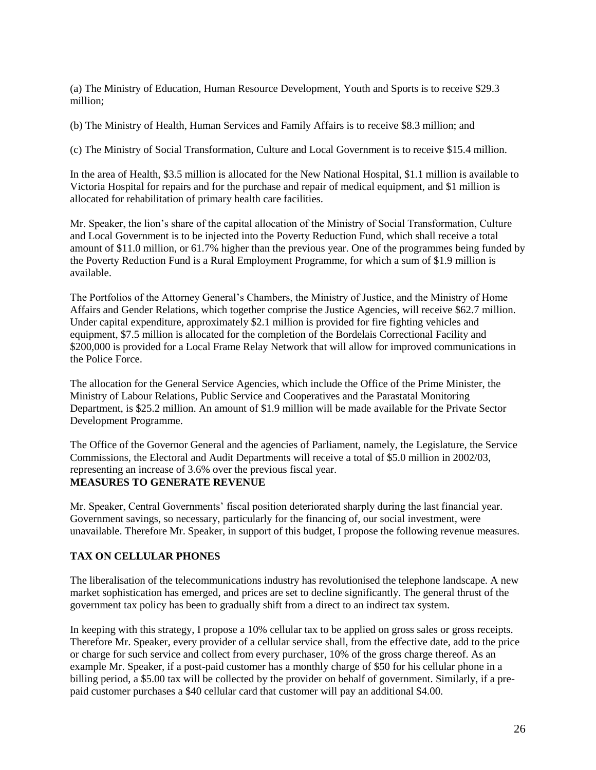(a) The Ministry of Education, Human Resource Development, Youth and Sports is to receive \$29.3 million;

(b) The Ministry of Health, Human Services and Family Affairs is to receive \$8.3 million; and

(c) The Ministry of Social Transformation, Culture and Local Government is to receive \$15.4 million.

In the area of Health, \$3.5 million is allocated for the New National Hospital, \$1.1 million is available to Victoria Hospital for repairs and for the purchase and repair of medical equipment, and \$1 million is allocated for rehabilitation of primary health care facilities.

Mr. Speaker, the lion's share of the capital allocation of the Ministry of Social Transformation, Culture and Local Government is to be injected into the Poverty Reduction Fund, which shall receive a total amount of \$11.0 million, or 61.7% higher than the previous year. One of the programmes being funded by the Poverty Reduction Fund is a Rural Employment Programme, for which a sum of \$1.9 million is available.

The Portfolios of the Attorney General's Chambers, the Ministry of Justice, and the Ministry of Home Affairs and Gender Relations, which together comprise the Justice Agencies, will receive \$62.7 million. Under capital expenditure, approximately \$2.1 million is provided for fire fighting vehicles and equipment, \$7.5 million is allocated for the completion of the Bordelais Correctional Facility and \$200,000 is provided for a Local Frame Relay Network that will allow for improved communications in the Police Force.

The allocation for the General Service Agencies, which include the Office of the Prime Minister, the Ministry of Labour Relations, Public Service and Cooperatives and the Parastatal Monitoring Department, is \$25.2 million. An amount of \$1.9 million will be made available for the Private Sector Development Programme.

The Office of the Governor General and the agencies of Parliament, namely, the Legislature, the Service Commissions, the Electoral and Audit Departments will receive a total of \$5.0 million in 2002/03, representing an increase of 3.6% over the previous fiscal year. **MEASURES TO GENERATE REVENUE**

Mr. Speaker, Central Governments' fiscal position deteriorated sharply during the last financial year. Government savings, so necessary, particularly for the financing of, our social investment, were unavailable. Therefore Mr. Speaker, in support of this budget, I propose the following revenue measures.

#### **TAX ON CELLULAR PHONES**

The liberalisation of the telecommunications industry has revolutionised the telephone landscape. A new market sophistication has emerged, and prices are set to decline significantly. The general thrust of the government tax policy has been to gradually shift from a direct to an indirect tax system.

In keeping with this strategy, I propose a 10% cellular tax to be applied on gross sales or gross receipts. Therefore Mr. Speaker, every provider of a cellular service shall, from the effective date, add to the price or charge for such service and collect from every purchaser, 10% of the gross charge thereof. As an example Mr. Speaker, if a post-paid customer has a monthly charge of \$50 for his cellular phone in a billing period, a \$5.00 tax will be collected by the provider on behalf of government. Similarly, if a prepaid customer purchases a \$40 cellular card that customer will pay an additional \$4.00.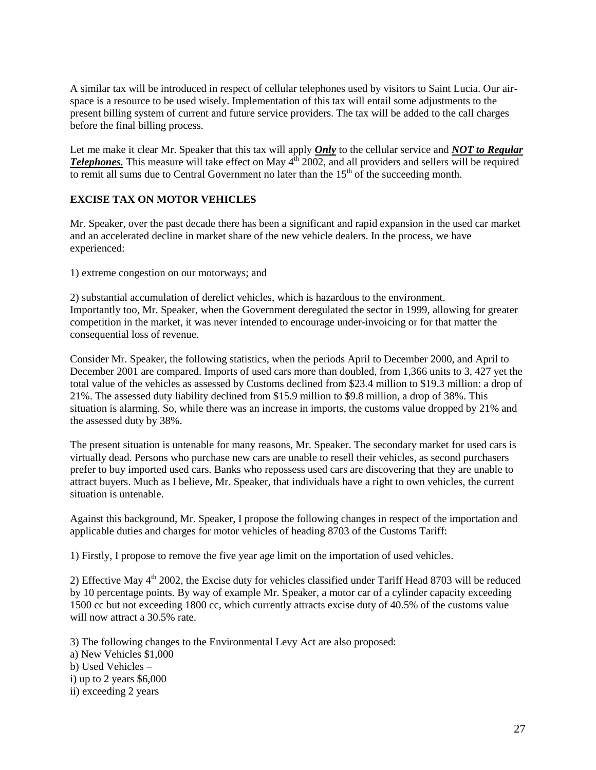A similar tax will be introduced in respect of cellular telephones used by visitors to Saint Lucia. Our airspace is a resource to be used wisely. Implementation of this tax will entail some adjustments to the present billing system of current and future service providers. The tax will be added to the call charges before the final billing process.

Let me make it clear Mr. Speaker that this tax will apply *Only* to the cellular service and *NOT to Regular*  **Telephones.** This measure will take effect on May  $4<sup>th</sup>$  2002, and all providers and sellers will be required to remit all sums due to Central Government no later than the  $15<sup>th</sup>$  of the succeeding month.

#### **EXCISE TAX ON MOTOR VEHICLES**

Mr. Speaker, over the past decade there has been a significant and rapid expansion in the used car market and an accelerated decline in market share of the new vehicle dealers. In the process, we have experienced:

1) extreme congestion on our motorways; and

2) substantial accumulation of derelict vehicles, which is hazardous to the environment. Importantly too, Mr. Speaker, when the Government deregulated the sector in 1999, allowing for greater competition in the market, it was never intended to encourage under-invoicing or for that matter the consequential loss of revenue.

Consider Mr. Speaker, the following statistics, when the periods April to December 2000, and April to December 2001 are compared. Imports of used cars more than doubled, from 1,366 units to 3, 427 yet the total value of the vehicles as assessed by Customs declined from \$23.4 million to \$19.3 million: a drop of 21%. The assessed duty liability declined from \$15.9 million to \$9.8 million, a drop of 38%. This situation is alarming. So, while there was an increase in imports, the customs value dropped by 21% and the assessed duty by 38%.

The present situation is untenable for many reasons, Mr. Speaker. The secondary market for used cars is virtually dead. Persons who purchase new cars are unable to resell their vehicles, as second purchasers prefer to buy imported used cars. Banks who repossess used cars are discovering that they are unable to attract buyers. Much as I believe, Mr. Speaker, that individuals have a right to own vehicles, the current situation is untenable.

Against this background, Mr. Speaker, I propose the following changes in respect of the importation and applicable duties and charges for motor vehicles of heading 8703 of the Customs Tariff:

1) Firstly, I propose to remove the five year age limit on the importation of used vehicles.

2) Effective May  $4<sup>th</sup>$  2002, the Excise duty for vehicles classified under Tariff Head 8703 will be reduced by 10 percentage points. By way of example Mr. Speaker, a motor car of a cylinder capacity exceeding 1500 cc but not exceeding 1800 cc, which currently attracts excise duty of 40.5% of the customs value will now attract a 30.5% rate.

3) The following changes to the Environmental Levy Act are also proposed: a) New Vehicles \$1,000 b) Used Vehicles – i) up to 2 years \$6,000 ii) exceeding 2 years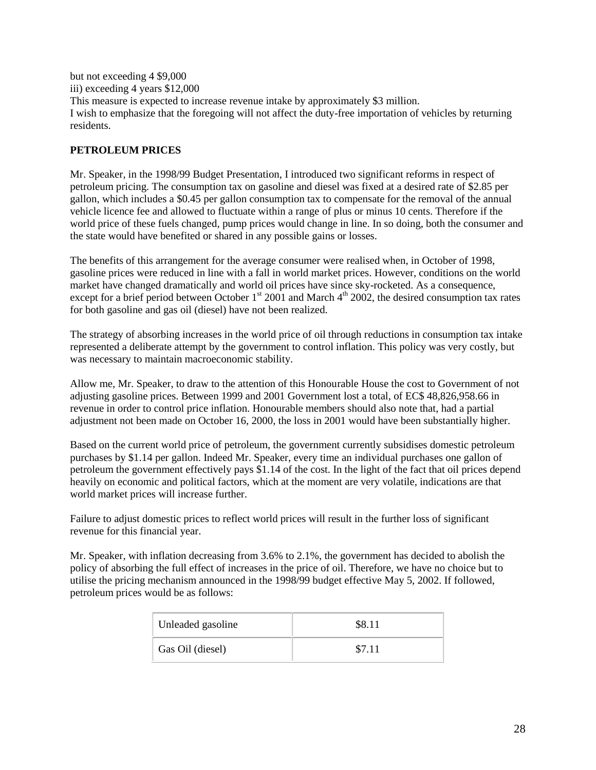but not exceeding 4 \$9,000 iii) exceeding 4 years \$12,000 This measure is expected to increase revenue intake by approximately \$3 million. I wish to emphasize that the foregoing will not affect the duty-free importation of vehicles by returning residents.

# **PETROLEUM PRICES**

Mr. Speaker, in the 1998/99 Budget Presentation, I introduced two significant reforms in respect of petroleum pricing. The consumption tax on gasoline and diesel was fixed at a desired rate of \$2.85 per gallon, which includes a \$0.45 per gallon consumption tax to compensate for the removal of the annual vehicle licence fee and allowed to fluctuate within a range of plus or minus 10 cents. Therefore if the world price of these fuels changed, pump prices would change in line. In so doing, both the consumer and the state would have benefited or shared in any possible gains or losses.

The benefits of this arrangement for the average consumer were realised when, in October of 1998, gasoline prices were reduced in line with a fall in world market prices. However, conditions on the world market have changed dramatically and world oil prices have since sky-rocketed. As a consequence, except for a brief period between October  $1^{st}$  2001 and March  $4^{th}$  2002, the desired consumption tax rates for both gasoline and gas oil (diesel) have not been realized.

The strategy of absorbing increases in the world price of oil through reductions in consumption tax intake represented a deliberate attempt by the government to control inflation. This policy was very costly, but was necessary to maintain macroeconomic stability.

Allow me, Mr. Speaker, to draw to the attention of this Honourable House the cost to Government of not adjusting gasoline prices. Between 1999 and 2001 Government lost a total, of EC\$ 48,826,958.66 in revenue in order to control price inflation. Honourable members should also note that, had a partial adjustment not been made on October 16, 2000, the loss in 2001 would have been substantially higher.

Based on the current world price of petroleum, the government currently subsidises domestic petroleum purchases by \$1.14 per gallon. Indeed Mr. Speaker, every time an individual purchases one gallon of petroleum the government effectively pays \$1.14 of the cost. In the light of the fact that oil prices depend heavily on economic and political factors, which at the moment are very volatile, indications are that world market prices will increase further.

Failure to adjust domestic prices to reflect world prices will result in the further loss of significant revenue for this financial year.

Mr. Speaker, with inflation decreasing from 3.6% to 2.1%, the government has decided to abolish the policy of absorbing the full effect of increases in the price of oil. Therefore, we have no choice but to utilise the pricing mechanism announced in the 1998/99 budget effective May 5, 2002. If followed, petroleum prices would be as follows:

| Unleaded gasoline | \$8.11 |
|-------------------|--------|
| Gas Oil (diesel)  | \$7.11 |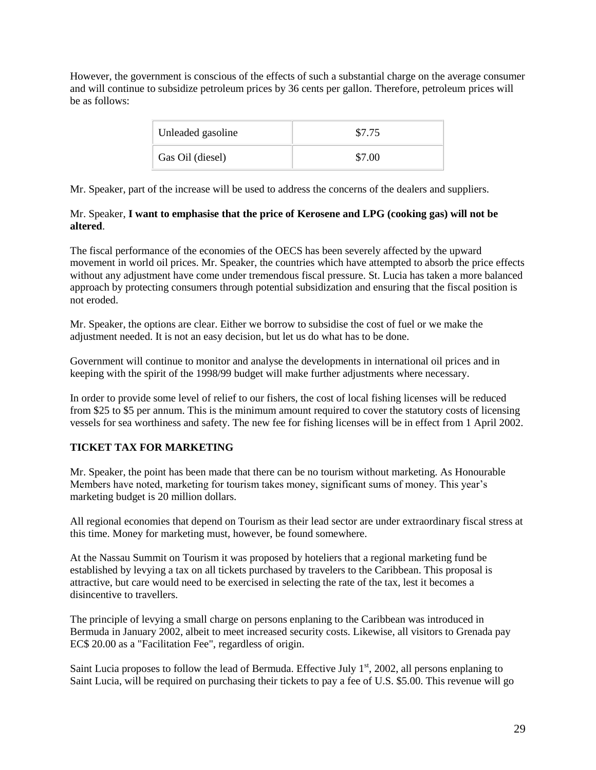However, the government is conscious of the effects of such a substantial charge on the average consumer and will continue to subsidize petroleum prices by 36 cents per gallon. Therefore, petroleum prices will be as follows:

| Unleaded gasoline | \$7.75 |
|-------------------|--------|
| Gas Oil (diesel)  | \$7.00 |

Mr. Speaker, part of the increase will be used to address the concerns of the dealers and suppliers.

#### Mr. Speaker, **I want to emphasise that the price of Kerosene and LPG (cooking gas) will not be altered**.

The fiscal performance of the economies of the OECS has been severely affected by the upward movement in world oil prices. Mr. Speaker, the countries which have attempted to absorb the price effects without any adjustment have come under tremendous fiscal pressure. St. Lucia has taken a more balanced approach by protecting consumers through potential subsidization and ensuring that the fiscal position is not eroded.

Mr. Speaker, the options are clear. Either we borrow to subsidise the cost of fuel or we make the adjustment needed. It is not an easy decision, but let us do what has to be done.

Government will continue to monitor and analyse the developments in international oil prices and in keeping with the spirit of the 1998/99 budget will make further adjustments where necessary.

In order to provide some level of relief to our fishers, the cost of local fishing licenses will be reduced from \$25 to \$5 per annum. This is the minimum amount required to cover the statutory costs of licensing vessels for sea worthiness and safety. The new fee for fishing licenses will be in effect from 1 April 2002.

# **TICKET TAX FOR MARKETING**

Mr. Speaker, the point has been made that there can be no tourism without marketing. As Honourable Members have noted, marketing for tourism takes money, significant sums of money. This year's marketing budget is 20 million dollars.

All regional economies that depend on Tourism as their lead sector are under extraordinary fiscal stress at this time. Money for marketing must, however, be found somewhere.

At the Nassau Summit on Tourism it was proposed by hoteliers that a regional marketing fund be established by levying a tax on all tickets purchased by travelers to the Caribbean. This proposal is attractive, but care would need to be exercised in selecting the rate of the tax, lest it becomes a disincentive to travellers.

The principle of levying a small charge on persons enplaning to the Caribbean was introduced in Bermuda in January 2002, albeit to meet increased security costs. Likewise, all visitors to Grenada pay EC\$ 20.00 as a "Facilitation Fee", regardless of origin.

Saint Lucia proposes to follow the lead of Bermuda. Effective July  $1<sup>st</sup>$ , 2002, all persons enplaning to Saint Lucia, will be required on purchasing their tickets to pay a fee of U.S. \$5.00. This revenue will go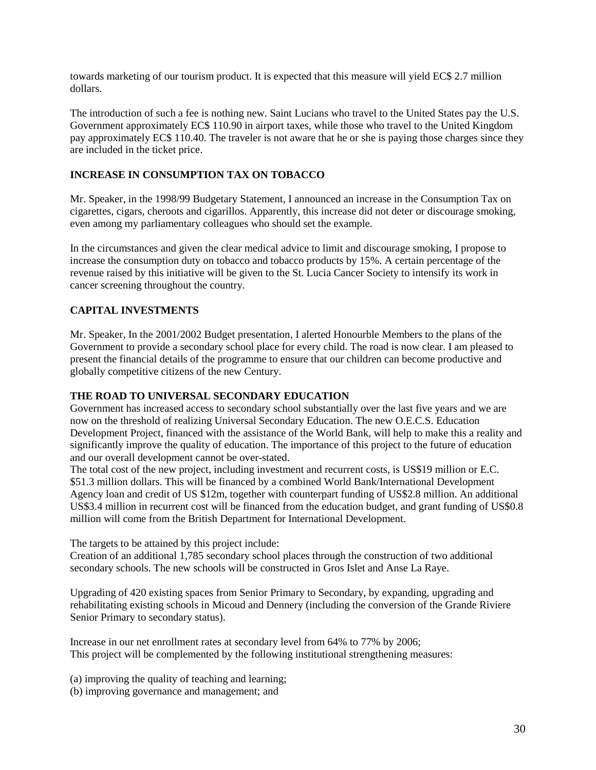towards marketing of our tourism product. It is expected that this measure will yield EC\$ 2.7 million dollars.

The introduction of such a fee is nothing new. Saint Lucians who travel to the United States pay the U.S. Government approximately EC\$ 110.90 in airport taxes, while those who travel to the United Kingdom pay approximately EC\$ 110.40. The traveler is not aware that he or she is paying those charges since they are included in the ticket price.

## **INCREASE IN CONSUMPTION TAX ON TOBACCO**

Mr. Speaker, in the 1998/99 Budgetary Statement, I announced an increase in the Consumption Tax on cigarettes, cigars, cheroots and cigarillos. Apparently, this increase did not deter or discourage smoking, even among my parliamentary colleagues who should set the example.

In the circumstances and given the clear medical advice to limit and discourage smoking, I propose to increase the consumption duty on tobacco and tobacco products by 15%. A certain percentage of the revenue raised by this initiative will be given to the St. Lucia Cancer Society to intensify its work in cancer screening throughout the country.

# **CAPITAL INVESTMENTS**

Mr. Speaker, In the 2001/2002 Budget presentation, I alerted Honourble Members to the plans of the Government to provide a secondary school place for every child. The road is now clear. I am pleased to present the financial details of the programme to ensure that our children can become productive and globally competitive citizens of the new Century.

#### **THE ROAD TO UNIVERSAL SECONDARY EDUCATION**

Government has increased access to secondary school substantially over the last five years and we are now on the threshold of realizing Universal Secondary Education. The new O.E.C.S. Education Development Project, financed with the assistance of the World Bank, will help to make this a reality and significantly improve the quality of education. The importance of this project to the future of education and our overall development cannot be over-stated.

The total cost of the new project, including investment and recurrent costs, is US\$19 million or E.C. \$51.3 million dollars. This will be financed by a combined World Bank/International Development Agency loan and credit of US \$12m, together with counterpart funding of US\$2.8 million. An additional US\$3.4 million in recurrent cost will be financed from the education budget, and grant funding of US\$0.8 million will come from the British Department for International Development.

The targets to be attained by this project include:

Creation of an additional 1,785 secondary school places through the construction of two additional secondary schools. The new schools will be constructed in Gros Islet and Anse La Raye.

Upgrading of 420 existing spaces from Senior Primary to Secondary, by expanding, upgrading and rehabilitating existing schools in Micoud and Dennery (including the conversion of the Grande Riviere Senior Primary to secondary status).

Increase in our net enrollment rates at secondary level from 64% to 77% by 2006; This project will be complemented by the following institutional strengthening measures:

(a) improving the quality of teaching and learning;

(b) improving governance and management; and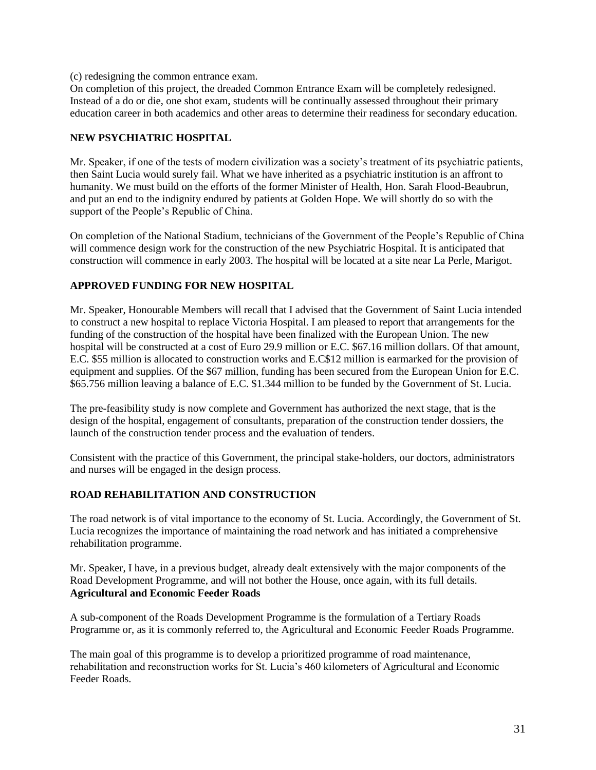(c) redesigning the common entrance exam.

On completion of this project, the dreaded Common Entrance Exam will be completely redesigned. Instead of a do or die, one shot exam, students will be continually assessed throughout their primary education career in both academics and other areas to determine their readiness for secondary education.

#### **NEW PSYCHIATRIC HOSPITAL**

Mr. Speaker, if one of the tests of modern civilization was a society's treatment of its psychiatric patients, then Saint Lucia would surely fail. What we have inherited as a psychiatric institution is an affront to humanity. We must build on the efforts of the former Minister of Health, Hon. Sarah Flood-Beaubrun, and put an end to the indignity endured by patients at Golden Hope. We will shortly do so with the support of the People's Republic of China.

On completion of the National Stadium, technicians of the Government of the People's Republic of China will commence design work for the construction of the new Psychiatric Hospital. It is anticipated that construction will commence in early 2003. The hospital will be located at a site near La Perle, Marigot.

#### **APPROVED FUNDING FOR NEW HOSPITAL**

Mr. Speaker, Honourable Members will recall that I advised that the Government of Saint Lucia intended to construct a new hospital to replace Victoria Hospital. I am pleased to report that arrangements for the funding of the construction of the hospital have been finalized with the European Union. The new hospital will be constructed at a cost of Euro 29.9 million or E.C. \$67.16 million dollars. Of that amount, E.C. \$55 million is allocated to construction works and E.C\$12 million is earmarked for the provision of equipment and supplies. Of the \$67 million, funding has been secured from the European Union for E.C. \$65.756 million leaving a balance of E.C. \$1.344 million to be funded by the Government of St. Lucia.

The pre-feasibility study is now complete and Government has authorized the next stage, that is the design of the hospital, engagement of consultants, preparation of the construction tender dossiers, the launch of the construction tender process and the evaluation of tenders.

Consistent with the practice of this Government, the principal stake-holders, our doctors, administrators and nurses will be engaged in the design process.

# **ROAD REHABILITATION AND CONSTRUCTION**

The road network is of vital importance to the economy of St. Lucia. Accordingly, the Government of St. Lucia recognizes the importance of maintaining the road network and has initiated a comprehensive rehabilitation programme.

Mr. Speaker, I have, in a previous budget, already dealt extensively with the major components of the Road Development Programme, and will not bother the House, once again, with its full details. **Agricultural and Economic Feeder Roads**

A sub-component of the Roads Development Programme is the formulation of a Tertiary Roads Programme or, as it is commonly referred to, the Agricultural and Economic Feeder Roads Programme.

The main goal of this programme is to develop a prioritized programme of road maintenance, rehabilitation and reconstruction works for St. Lucia's 460 kilometers of Agricultural and Economic Feeder Roads.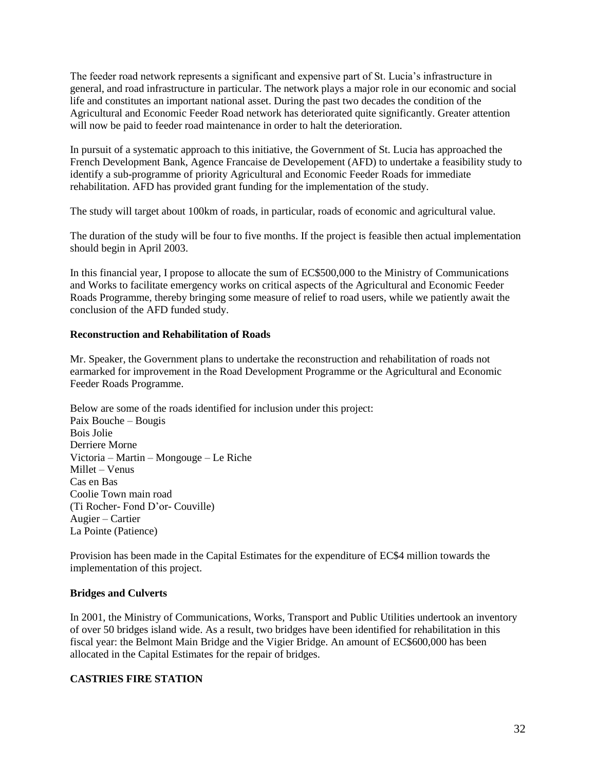The feeder road network represents a significant and expensive part of St. Lucia's infrastructure in general, and road infrastructure in particular. The network plays a major role in our economic and social life and constitutes an important national asset. During the past two decades the condition of the Agricultural and Economic Feeder Road network has deteriorated quite significantly. Greater attention will now be paid to feeder road maintenance in order to halt the deterioration.

In pursuit of a systematic approach to this initiative, the Government of St. Lucia has approached the French Development Bank, Agence Francaise de Developement (AFD) to undertake a feasibility study to identify a sub-programme of priority Agricultural and Economic Feeder Roads for immediate rehabilitation. AFD has provided grant funding for the implementation of the study.

The study will target about 100km of roads, in particular, roads of economic and agricultural value.

The duration of the study will be four to five months. If the project is feasible then actual implementation should begin in April 2003.

In this financial year, I propose to allocate the sum of EC\$500,000 to the Ministry of Communications and Works to facilitate emergency works on critical aspects of the Agricultural and Economic Feeder Roads Programme, thereby bringing some measure of relief to road users, while we patiently await the conclusion of the AFD funded study.

#### **Reconstruction and Rehabilitation of Roads**

Mr. Speaker, the Government plans to undertake the reconstruction and rehabilitation of roads not earmarked for improvement in the Road Development Programme or the Agricultural and Economic Feeder Roads Programme.

Below are some of the roads identified for inclusion under this project: Paix Bouche – Bougis Bois Jolie Derriere Morne Victoria – Martin – Mongouge – Le Riche Millet – Venus Cas en Bas Coolie Town main road (Ti Rocher- Fond D'or- Couville) Augier – Cartier La Pointe (Patience)

Provision has been made in the Capital Estimates for the expenditure of EC\$4 million towards the implementation of this project.

#### **Bridges and Culverts**

In 2001, the Ministry of Communications, Works, Transport and Public Utilities undertook an inventory of over 50 bridges island wide. As a result, two bridges have been identified for rehabilitation in this fiscal year: the Belmont Main Bridge and the Vigier Bridge. An amount of EC\$600,000 has been allocated in the Capital Estimates for the repair of bridges.

#### **CASTRIES FIRE STATION**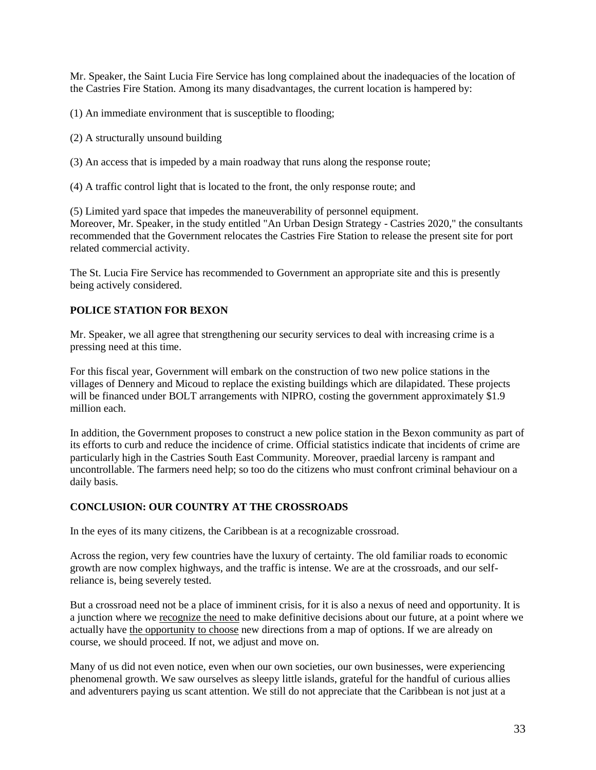Mr. Speaker, the Saint Lucia Fire Service has long complained about the inadequacies of the location of the Castries Fire Station. Among its many disadvantages, the current location is hampered by:

(1) An immediate environment that is susceptible to flooding;

(2) A structurally unsound building

(3) An access that is impeded by a main roadway that runs along the response route;

(4) A traffic control light that is located to the front, the only response route; and

(5) Limited yard space that impedes the maneuverability of personnel equipment. Moreover, Mr. Speaker, in the study entitled "An Urban Design Strategy - Castries 2020," the consultants recommended that the Government relocates the Castries Fire Station to release the present site for port related commercial activity.

The St. Lucia Fire Service has recommended to Government an appropriate site and this is presently being actively considered.

# **POLICE STATION FOR BEXON**

Mr. Speaker, we all agree that strengthening our security services to deal with increasing crime is a pressing need at this time.

For this fiscal year, Government will embark on the construction of two new police stations in the villages of Dennery and Micoud to replace the existing buildings which are dilapidated. These projects will be financed under BOLT arrangements with NIPRO, costing the government approximately \$1.9 million each.

In addition, the Government proposes to construct a new police station in the Bexon community as part of its efforts to curb and reduce the incidence of crime. Official statistics indicate that incidents of crime are particularly high in the Castries South East Community. Moreover, praedial larceny is rampant and uncontrollable. The farmers need help; so too do the citizens who must confront criminal behaviour on a daily basis.

# **CONCLUSION: OUR COUNTRY AT THE CROSSROADS**

In the eyes of its many citizens, the Caribbean is at a recognizable crossroad.

Across the region, very few countries have the luxury of certainty. The old familiar roads to economic growth are now complex highways, and the traffic is intense. We are at the crossroads, and our selfreliance is, being severely tested.

But a crossroad need not be a place of imminent crisis, for it is also a nexus of need and opportunity. It is a junction where we recognize the need to make definitive decisions about our future, at a point where we actually have the opportunity to choose new directions from a map of options. If we are already on course, we should proceed. If not, we adjust and move on.

Many of us did not even notice, even when our own societies, our own businesses, were experiencing phenomenal growth. We saw ourselves as sleepy little islands, grateful for the handful of curious allies and adventurers paying us scant attention. We still do not appreciate that the Caribbean is not just at a